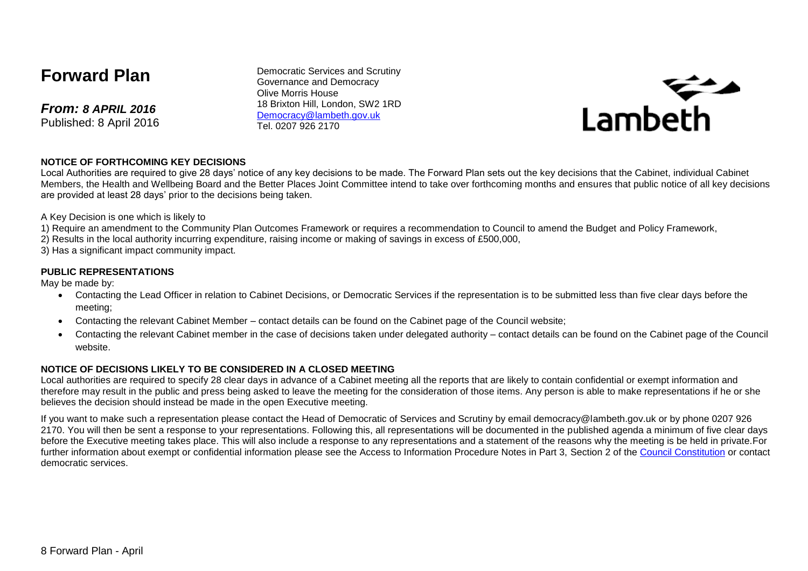# **Forward Plan**

*From: 8 APRIL 2016* Published: 8 April 2016

Democratic Services and Scrutiny Governance and Democracy Olive Morris House 18 Brixton Hill, London, SW2 1RD [Democracy@lambeth.gov.uk](mailto:Democracy@lambeth.gov.uk) Tel. 0207 926 2170



#### **NOTICE OF FORTHCOMING KEY DECISIONS**

Local Authorities are required to give 28 days' notice of any key decisions to be made. The Forward Plan sets out the key decisions that the Cabinet, individual Cabinet Members, the Health and Wellbeing Board and the Better Places Joint Committee intend to take over forthcoming months and ensures that public notice of all key decisions are provided at least 28 days' prior to the decisions being taken.

A Key Decision is one which is likely to

- 1) Require an amendment to the Community Plan Outcomes Framework or requires a recommendation to Council to amend the Budget and Policy Framework,
- 2) Results in the local authority incurring expenditure, raising income or making of savings in excess of £500,000,
- 3) Has a significant impact community impact.

#### **PUBLIC REPRESENTATIONS**

May be made by:

- Contacting the Lead Officer in relation to Cabinet Decisions, or Democratic Services if the representation is to be submitted less than five clear days before the meeting;
- Contacting the relevant Cabinet Member contact details can be found on the Cabinet page of the Council website;
- Contacting the relevant Cabinet member in the case of decisions taken under delegated authority contact details can be found on the Cabinet page of the Council website.

#### **NOTICE OF DECISIONS LIKELY TO BE CONSIDERED IN A CLOSED MEETING**

Local authorities are required to specify 28 clear days in advance of a Cabinet meeting all the reports that are likely to contain confidential or exempt information and therefore may result in the public and press being asked to leave the meeting for the consideration of those items. Any person is able to make representations if he or she believes the decision should instead be made in the open Executive meeting.

If you want to make such a representation please contact the Head of Democratic of Services and Scrutiny by email democracy@lambeth.gov.uk or by phone 0207 926 2170. You will then be sent a response to your representations. Following this, all representations will be documented in the published agenda a minimum of five clear days before the Executive meeting takes place. This will also include a response to any representations and a statement of the reasons why the meeting is be held in private.For further information about exempt or confidential information please see the Access to Information Procedure Notes in Part 3, Section 2 of the [Council Constitution](http://www.lambeth.gov.uk/sites/default/files/ec-Council-Constitution-2014-15-approved-with-changes-November-2014.pdf) or contact democratic services.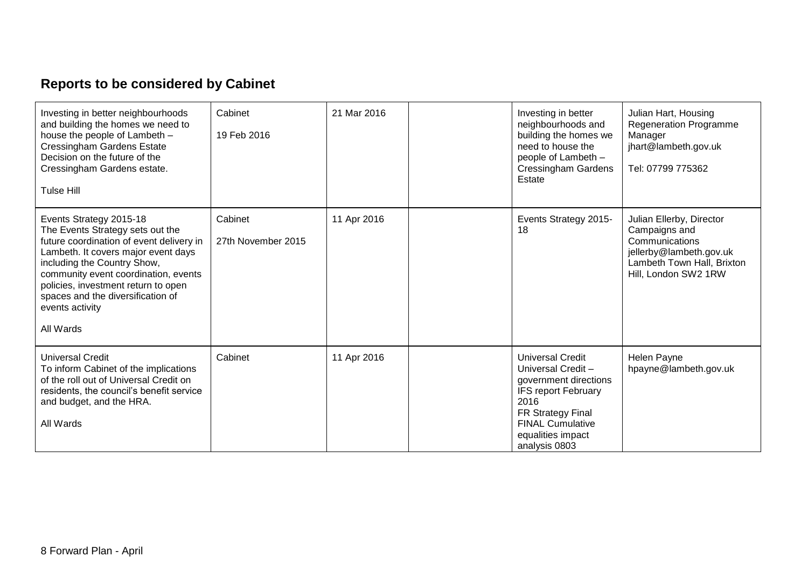# **Reports to be considered by Cabinet**

| Investing in better neighbourhoods<br>and building the homes we need to<br>house the people of Lambeth -<br><b>Cressingham Gardens Estate</b><br>Decision on the future of the<br>Cressingham Gardens estate.<br>Tulse Hill                                                                                                       | Cabinet<br>19 Feb 2016        | 21 Mar 2016 | Investing in better<br>neighbourhoods and<br>building the homes we<br>need to house the<br>people of Lambeth -<br><b>Cressingham Gardens</b><br>Estate                                            | Julian Hart, Housing<br><b>Regeneration Programme</b><br>Manager<br>jhart@lambeth.gov.uk<br>Tel: 07799 775362                                |
|-----------------------------------------------------------------------------------------------------------------------------------------------------------------------------------------------------------------------------------------------------------------------------------------------------------------------------------|-------------------------------|-------------|---------------------------------------------------------------------------------------------------------------------------------------------------------------------------------------------------|----------------------------------------------------------------------------------------------------------------------------------------------|
| Events Strategy 2015-18<br>The Events Strategy sets out the<br>future coordination of event delivery in<br>Lambeth. It covers major event days<br>including the Country Show,<br>community event coordination, events<br>policies, investment return to open<br>spaces and the diversification of<br>events activity<br>All Wards | Cabinet<br>27th November 2015 | 11 Apr 2016 | Events Strategy 2015-<br>18                                                                                                                                                                       | Julian Ellerby, Director<br>Campaigns and<br>Communications<br>jellerby@lambeth.gov.uk<br>Lambeth Town Hall, Brixton<br>Hill, London SW2 1RW |
| <b>Universal Credit</b><br>To inform Cabinet of the implications<br>of the roll out of Universal Credit on<br>residents, the council's benefit service<br>and budget, and the HRA.<br>All Wards                                                                                                                                   | Cabinet                       | 11 Apr 2016 | <b>Universal Credit</b><br>Universal Credit-<br>government directions<br><b>IFS report February</b><br>2016<br>FR Strategy Final<br><b>FINAL Cumulative</b><br>equalities impact<br>analysis 0803 | Helen Payne<br>hpayne@lambeth.gov.uk                                                                                                         |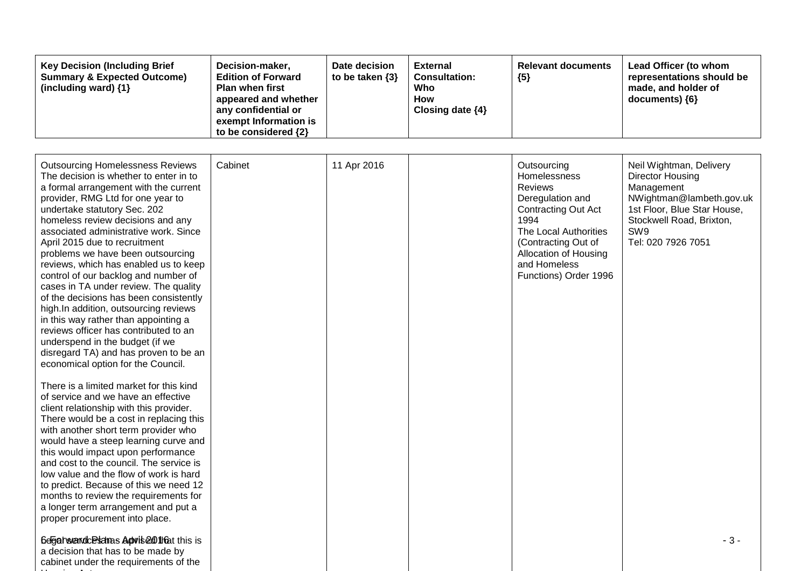| <b>Outsourcing Homelessness Reviews</b><br>The decision is whether to enter in to<br>a formal arrangement with the current<br>provider, RMG Ltd for one year to<br>undertake statutory Sec. 202<br>homeless review decisions and any<br>associated administrative work. Since<br>April 2015 due to recruitment<br>problems we have been outsourcing<br>reviews, which has enabled us to keep<br>control of our backlog and number of<br>cases in TA under review. The quality<br>of the decisions has been consistently<br>high.In addition, outsourcing reviews<br>in this way rather than appointing a<br>reviews officer has contributed to an<br>underspend in the budget (if we<br>disregard TA) and has proven to be an<br>economical option for the Council. | Cabinet | 11 Apr 2016 | Outsourcing<br>Homelessness<br><b>Reviews</b><br>Deregulation and<br><b>Contracting Out Act</b><br>1994<br>The Local Authorities<br>(Contracting Out of<br>Allocation of Housing<br>and Homeless<br>Functions) Order 1996 | Neil Wightman, Delivery<br><b>Director Housing</b><br>Management<br>NWightman@lambeth.gov.uk<br>1st Floor, Blue Star House,<br>Stockwell Road, Brixton,<br>SW <sub>9</sub><br>Tel: 020 7926 7051 |
|---------------------------------------------------------------------------------------------------------------------------------------------------------------------------------------------------------------------------------------------------------------------------------------------------------------------------------------------------------------------------------------------------------------------------------------------------------------------------------------------------------------------------------------------------------------------------------------------------------------------------------------------------------------------------------------------------------------------------------------------------------------------|---------|-------------|---------------------------------------------------------------------------------------------------------------------------------------------------------------------------------------------------------------------------|--------------------------------------------------------------------------------------------------------------------------------------------------------------------------------------------------|
| There is a limited market for this kind<br>of service and we have an effective<br>client relationship with this provider.<br>There would be a cost in replacing this<br>with another short term provider who<br>would have a steep learning curve and<br>this would impact upon performance<br>and cost to the council. The service is<br>low value and the flow of work is hard<br>to predict. Because of this we need 12<br>months to review the requirements for<br>a longer term arrangement and put a<br>proper procurement into place.                                                                                                                                                                                                                        |         |             |                                                                                                                                                                                                                           |                                                                                                                                                                                                  |
| 6egat weardcestednas Advise @ 11 fat this is<br>a decision that has to be made by<br>cabinet under the requirements of the                                                                                                                                                                                                                                                                                                                                                                                                                                                                                                                                                                                                                                          |         |             |                                                                                                                                                                                                                           | $-3-$                                                                                                                                                                                            |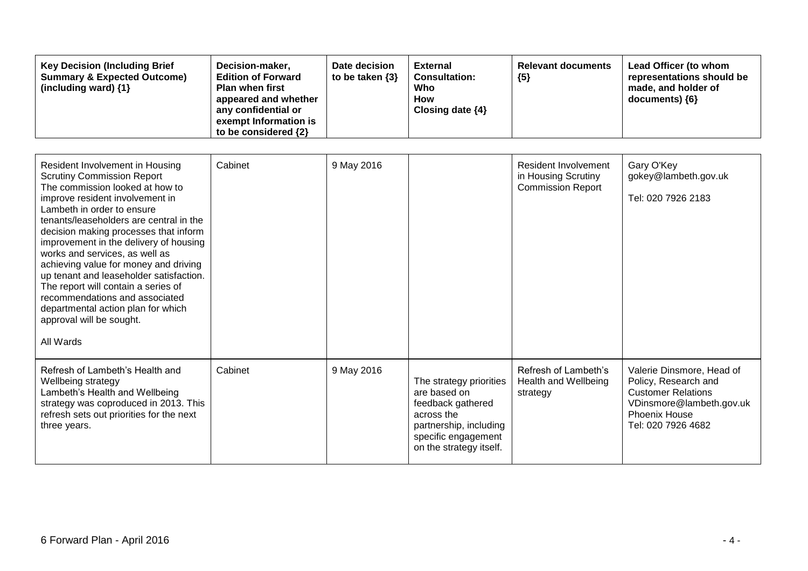| <b>Key Decision (Including Brief</b><br><b>Summary &amp; Expected Outcome)</b><br>(including ward) $\{1\}$ | Decision-maker,<br><b>Edition of Forward</b><br><b>Plan when first</b><br>appeared and whether<br>any confidential or<br>exempt Information is<br>to be considered $\{2\}$ | Date decision<br>to be taken $\{3\}$ | <b>External</b><br><b>Consultation:</b><br>Who<br>How<br>Closing date $\{4\}$ | <b>Relevant documents</b><br>${5}$ | Lead Officer (to whom<br>representations should be<br>made, and holder of<br>$documents)$ {6} |
|------------------------------------------------------------------------------------------------------------|----------------------------------------------------------------------------------------------------------------------------------------------------------------------------|--------------------------------------|-------------------------------------------------------------------------------|------------------------------------|-----------------------------------------------------------------------------------------------|
|------------------------------------------------------------------------------------------------------------|----------------------------------------------------------------------------------------------------------------------------------------------------------------------------|--------------------------------------|-------------------------------------------------------------------------------|------------------------------------|-----------------------------------------------------------------------------------------------|

| Resident Involvement in Housing<br><b>Scrutiny Commission Report</b><br>The commission looked at how to<br>improve resident involvement in<br>Lambeth in order to ensure<br>tenants/leaseholders are central in the<br>decision making processes that inform<br>improvement in the delivery of housing<br>works and services, as well as<br>achieving value for money and driving<br>up tenant and leaseholder satisfaction.<br>The report will contain a series of<br>recommendations and associated<br>departmental action plan for which<br>approval will be sought.<br>All Wards | Cabinet | 9 May 2016 |                                                                                                                                                        | Resident Involvement<br>in Housing Scrutiny<br><b>Commission Report</b> | Gary O'Key<br>gokey@lambeth.gov.uk<br>Tel: 020 7926 2183                                                                                          |
|--------------------------------------------------------------------------------------------------------------------------------------------------------------------------------------------------------------------------------------------------------------------------------------------------------------------------------------------------------------------------------------------------------------------------------------------------------------------------------------------------------------------------------------------------------------------------------------|---------|------------|--------------------------------------------------------------------------------------------------------------------------------------------------------|-------------------------------------------------------------------------|---------------------------------------------------------------------------------------------------------------------------------------------------|
| Refresh of Lambeth's Health and<br>Wellbeing strategy<br>Lambeth's Health and Wellbeing<br>strategy was coproduced in 2013. This<br>refresh sets out priorities for the next<br>three years.                                                                                                                                                                                                                                                                                                                                                                                         | Cabinet | 9 May 2016 | The strategy priorities<br>are based on<br>feedback gathered<br>across the<br>partnership, including<br>specific engagement<br>on the strategy itself. | Refresh of Lambeth's<br>Health and Wellbeing<br>strategy                | Valerie Dinsmore, Head of<br>Policy, Research and<br><b>Customer Relations</b><br>VDinsmore@lambeth.gov.uk<br>Phoenix House<br>Tel: 020 7926 4682 |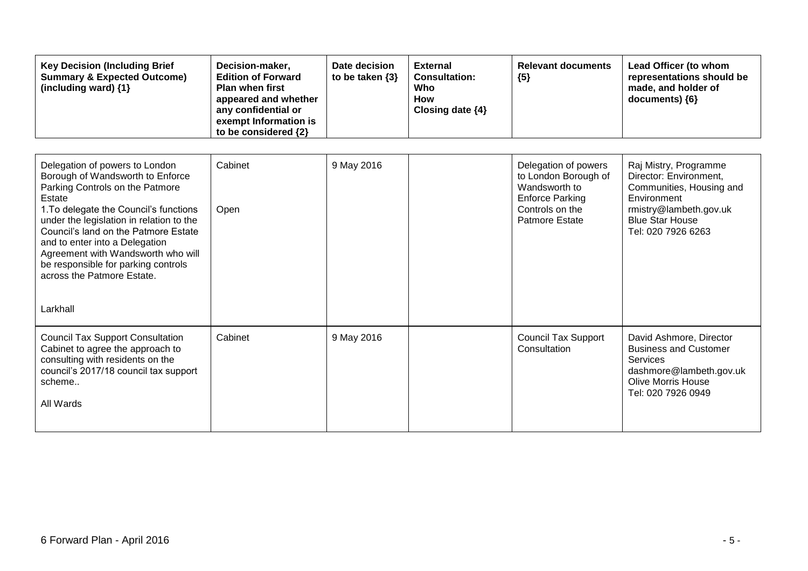| <b>Key Decision (Including Brief</b><br><b>Summary &amp; Expected Outcome)</b><br>(including ward) {1}                                                                                                                                                                                                                                                                                                 | Decision-maker,<br><b>Edition of Forward</b><br><b>Plan when first</b><br>appeared and whether<br>any confidential or<br>exempt Information is<br>to be considered {2} | Date decision<br>to be taken $\{3\}$ | <b>External</b><br><b>Consultation:</b><br>Who<br><b>How</b><br>Closing date {4} | <b>Relevant documents</b><br>${5}$                                                                                                  | Lead Officer (to whom<br>representations should be<br>made, and holder of<br>documents) {6}                                                                          |
|--------------------------------------------------------------------------------------------------------------------------------------------------------------------------------------------------------------------------------------------------------------------------------------------------------------------------------------------------------------------------------------------------------|------------------------------------------------------------------------------------------------------------------------------------------------------------------------|--------------------------------------|----------------------------------------------------------------------------------|-------------------------------------------------------------------------------------------------------------------------------------|----------------------------------------------------------------------------------------------------------------------------------------------------------------------|
| Delegation of powers to London<br>Borough of Wandsworth to Enforce<br>Parking Controls on the Patmore<br>Estate<br>1. To delegate the Council's functions<br>under the legislation in relation to the<br>Council's land on the Patmore Estate<br>and to enter into a Delegation<br>Agreement with Wandsworth who will<br>be responsible for parking controls<br>across the Patmore Estate.<br>Larkhall | Cabinet<br>Open                                                                                                                                                        | 9 May 2016                           |                                                                                  | Delegation of powers<br>to London Borough of<br>Wandsworth to<br><b>Enforce Parking</b><br>Controls on the<br><b>Patmore Estate</b> | Raj Mistry, Programme<br>Director: Environment,<br>Communities, Housing and<br>Environment<br>rmistry@lambeth.gov.uk<br><b>Blue Star House</b><br>Tel: 020 7926 6263 |
| <b>Council Tax Support Consultation</b><br>Cabinet to agree the approach to<br>consulting with residents on the<br>council's 2017/18 council tax support<br>scheme<br>All Wards                                                                                                                                                                                                                        | Cabinet                                                                                                                                                                | 9 May 2016                           |                                                                                  | <b>Council Tax Support</b><br>Consultation                                                                                          | David Ashmore, Director<br><b>Business and Customer</b><br><b>Services</b><br>dashmore@lambeth.gov.uk<br><b>Olive Morris House</b><br>Tel: 020 7926 0949             |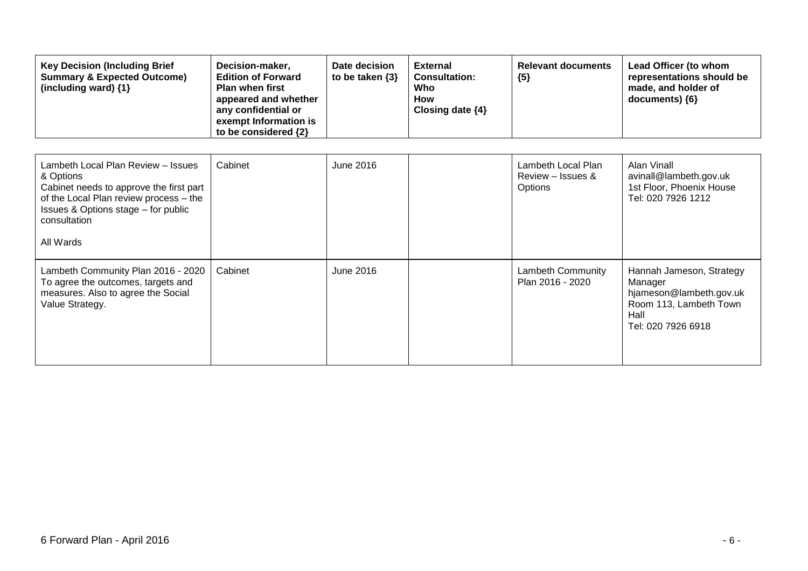| <b>Key Decision (Including Brief</b><br><b>Summary &amp; Expected Outcome)</b><br>(including ward) {1}                                                                                                   | Decision-maker,<br><b>Edition of Forward</b><br><b>Plan when first</b><br>appeared and whether<br>any confidential or<br>exempt Information is<br>to be considered {2} | Date decision<br>to be taken $\{3\}$ | <b>External</b><br><b>Consultation:</b><br>Who<br><b>How</b><br>Closing date $\{4\}$ | <b>Relevant documents</b><br>${5}$                 | Lead Officer (to whom<br>representations should be<br>made, and holder of<br>documents) ${6}$                          |
|----------------------------------------------------------------------------------------------------------------------------------------------------------------------------------------------------------|------------------------------------------------------------------------------------------------------------------------------------------------------------------------|--------------------------------------|--------------------------------------------------------------------------------------|----------------------------------------------------|------------------------------------------------------------------------------------------------------------------------|
| Lambeth Local Plan Review - Issues<br>& Options<br>Cabinet needs to approve the first part<br>of the Local Plan review process - the<br>Issues & Options stage - for public<br>consultation<br>All Wards | Cabinet                                                                                                                                                                | June 2016                            |                                                                                      | Lambeth Local Plan<br>Review – Issues &<br>Options | Alan Vinall<br>avinall@lambeth.gov.uk<br>1st Floor, Phoenix House<br>Tel: 020 7926 1212                                |
| Lambeth Community Plan 2016 - 2020<br>To agree the outcomes, targets and<br>measures. Also to agree the Social<br>Value Strategy.                                                                        | Cabinet                                                                                                                                                                | June 2016                            |                                                                                      | Lambeth Community<br>Plan 2016 - 2020              | Hannah Jameson, Strategy<br>Manager<br>hjameson@lambeth.gov.uk<br>Room 113, Lambeth Town<br>Hall<br>Tel: 020 7926 6918 |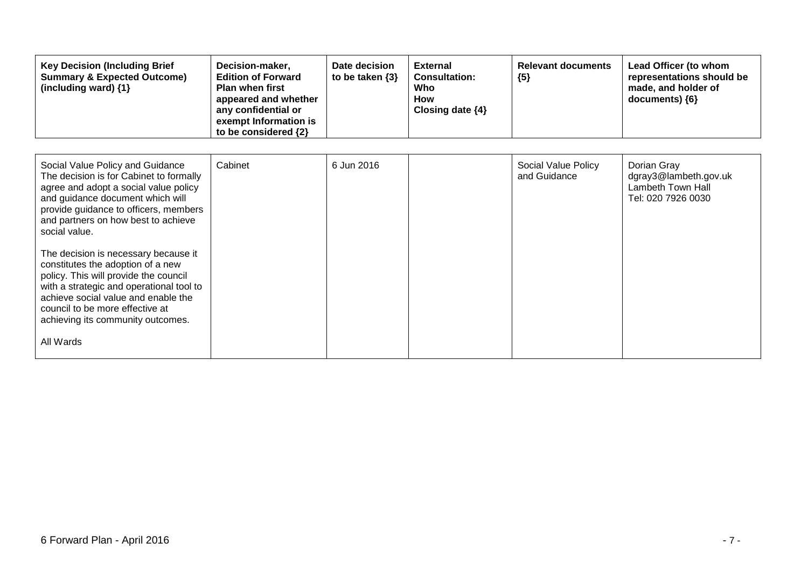| <b>Key Decision (Including Brief</b><br><b>Summary &amp; Expected Outcome)</b><br>(including ward) {1}                                                                                                                                                                                     | Decision-maker,<br><b>Edition of Forward</b><br><b>Plan when first</b><br>appeared and whether<br>any confidential or<br>exempt Information is<br>to be considered {2} | Date decision<br>to be taken $\{3\}$ | <b>External</b><br><b>Consultation:</b><br>Who<br><b>How</b><br>Closing date $\{4\}$ | <b>Relevant documents</b><br>${5}$  | Lead Officer (to whom<br>representations should be<br>made, and holder of<br>documents) ${6}$ |
|--------------------------------------------------------------------------------------------------------------------------------------------------------------------------------------------------------------------------------------------------------------------------------------------|------------------------------------------------------------------------------------------------------------------------------------------------------------------------|--------------------------------------|--------------------------------------------------------------------------------------|-------------------------------------|-----------------------------------------------------------------------------------------------|
|                                                                                                                                                                                                                                                                                            |                                                                                                                                                                        |                                      |                                                                                      |                                     |                                                                                               |
| Social Value Policy and Guidance<br>The decision is for Cabinet to formally<br>agree and adopt a social value policy<br>and guidance document which will<br>provide guidance to officers, members<br>and partners on how best to achieve<br>social value.                                  | Cabinet                                                                                                                                                                | 6 Jun 2016                           |                                                                                      | Social Value Policy<br>and Guidance | Dorian Gray<br>dgray3@lambeth.gov.uk<br>Lambeth Town Hall<br>Tel: 020 7926 0030               |
| The decision is necessary because it<br>constitutes the adoption of a new<br>policy. This will provide the council<br>with a strategic and operational tool to<br>achieve social value and enable the<br>council to be more effective at<br>achieving its community outcomes.<br>All Wards |                                                                                                                                                                        |                                      |                                                                                      |                                     |                                                                                               |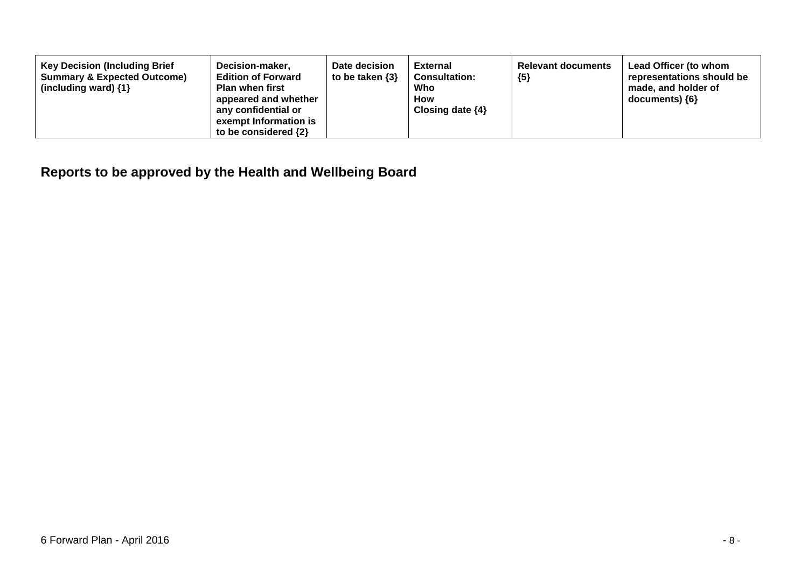| <b>Key Decision (Including Brief</b><br><b>Summary &amp; Expected Outcome)</b><br>(including ward) $\{1\}$ | Date decision<br>Decision-maker,<br>to be taken $\{3\}$<br><b>Edition of Forward</b><br><b>Plan when first</b><br>appeared and whether<br>any confidential or<br>exempt Information is<br>to be considered $\{2\}$ | External<br><b>Consultation:</b><br>Who<br><b>How</b><br>Closing date $\{4\}$ | <b>Relevant documents</b><br>${5}$ | Lead Officer (to whom<br>representations should be<br>made, and holder of<br>$documents)$ {6} |
|------------------------------------------------------------------------------------------------------------|--------------------------------------------------------------------------------------------------------------------------------------------------------------------------------------------------------------------|-------------------------------------------------------------------------------|------------------------------------|-----------------------------------------------------------------------------------------------|
|------------------------------------------------------------------------------------------------------------|--------------------------------------------------------------------------------------------------------------------------------------------------------------------------------------------------------------------|-------------------------------------------------------------------------------|------------------------------------|-----------------------------------------------------------------------------------------------|

## **Reports to be approved by the Health and Wellbeing Board**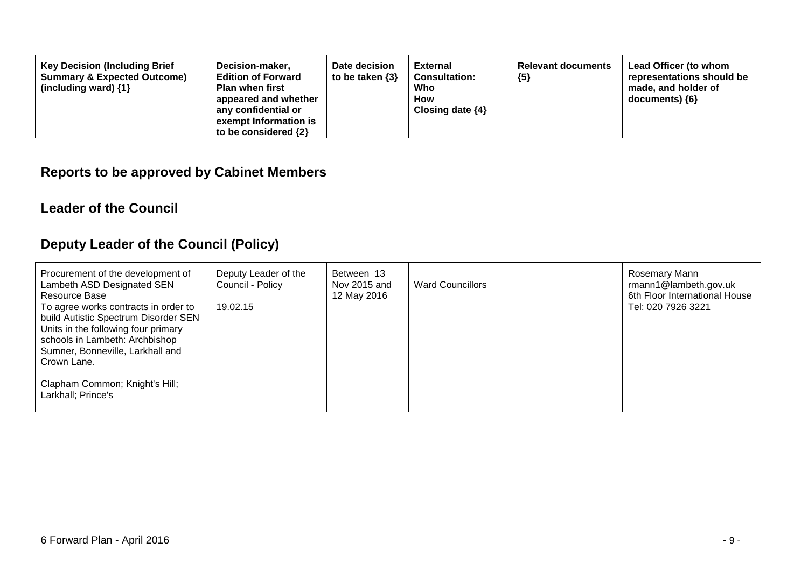| <b>Key Decision (Including Brief</b><br>Decision-maker,<br><b>Edition of Forward</b><br><b>Summary &amp; Expected Outcome)</b><br><b>Plan when first</b><br>(including ward) $\{1\}$<br>appeared and whether<br>any confidential or<br>exempt Information is<br>to be considered $\{2\}$ | Date decision<br>to be taken $\{3\}$ | <b>External</b><br><b>Consultation:</b><br>Who<br><b>How</b><br>Closing date $\{4\}$ | <b>Relevant documents</b><br>${5}$ | Lead Officer (to whom<br>representations should be<br>made, and holder of<br>$documents)$ {6} |
|------------------------------------------------------------------------------------------------------------------------------------------------------------------------------------------------------------------------------------------------------------------------------------------|--------------------------------------|--------------------------------------------------------------------------------------|------------------------------------|-----------------------------------------------------------------------------------------------|
|------------------------------------------------------------------------------------------------------------------------------------------------------------------------------------------------------------------------------------------------------------------------------------------|--------------------------------------|--------------------------------------------------------------------------------------|------------------------------------|-----------------------------------------------------------------------------------------------|

### **Reports to be approved by Cabinet Members**

#### **Leader of the Council**

### **Deputy Leader of the Council (Policy)**

| Procurement of the development of<br>Lambeth ASD Designated SEN<br>Resource Base<br>To agree works contracts in order to<br>build Autistic Spectrum Disorder SEN<br>Units in the following four primary<br>schools in Lambeth: Archbishop<br>Sumner, Bonneville, Larkhall and<br>Crown Lane. | Deputy Leader of the<br>Council - Policy<br>19.02.15 | Between 13<br>Nov 2015 and<br>12 May 2016 | <b>Ward Councillors</b> | Rosemary Mann<br>rmann1@lambeth.gov.uk<br>6th Floor International House<br>Tel: 020 7926 3221 |
|----------------------------------------------------------------------------------------------------------------------------------------------------------------------------------------------------------------------------------------------------------------------------------------------|------------------------------------------------------|-------------------------------------------|-------------------------|-----------------------------------------------------------------------------------------------|
| Clapham Common; Knight's Hill;<br>Larkhall; Prince's                                                                                                                                                                                                                                         |                                                      |                                           |                         |                                                                                               |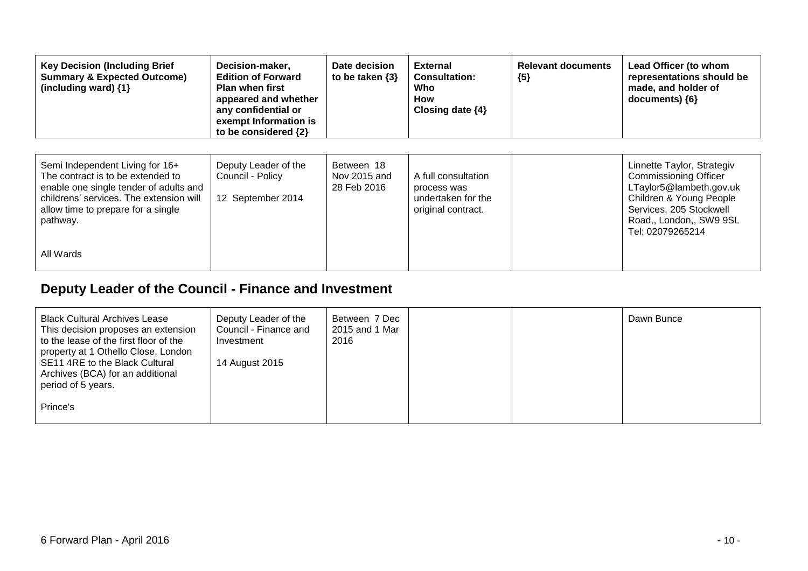| <b>Key Decision (Including Brief</b><br><b>Summary &amp; Expected Outcome)</b><br>(including ward) {1}                                                                                                      | Decision-maker,<br><b>Edition of Forward</b><br><b>Plan when first</b><br>appeared and whether<br>any confidential or<br>exempt Information is<br>to be considered {2} | Date decision<br>to be taken $\{3\}$      | <b>External</b><br><b>Consultation:</b><br>Who<br>How<br>Closing date $\{4\}$  | <b>Relevant documents</b><br>${5}$ | Lead Officer (to whom<br>representations should be<br>made, and holder of<br>$documents)$ {6}                                                                                              |
|-------------------------------------------------------------------------------------------------------------------------------------------------------------------------------------------------------------|------------------------------------------------------------------------------------------------------------------------------------------------------------------------|-------------------------------------------|--------------------------------------------------------------------------------|------------------------------------|--------------------------------------------------------------------------------------------------------------------------------------------------------------------------------------------|
| Semi Independent Living for 16+<br>The contract is to be extended to<br>enable one single tender of adults and<br>childrens' services. The extension will<br>allow time to prepare for a single<br>pathway. | Deputy Leader of the<br>Council - Policy<br>12 September 2014                                                                                                          | Between 18<br>Nov 2015 and<br>28 Feb 2016 | A full consultation<br>process was<br>undertaken for the<br>original contract. |                                    | Linnette Taylor, Strategiv<br><b>Commissioning Officer</b><br>LTaylor5@lambeth.gov.uk<br>Children & Young People<br>Services, 205 Stockwell<br>Road,, London,, SW9 9SL<br>Tel: 02079265214 |
| All Wards                                                                                                                                                                                                   |                                                                                                                                                                        |                                           |                                                                                |                                    |                                                                                                                                                                                            |

## **Deputy Leader of the Council - Finance and Investment**

| <b>Black Cultural Archives Lease</b><br>This decision proposes an extension<br>to the lease of the first floor of the<br>property at 1 Othello Close, London<br>SE11 4RE to the Black Cultural<br>Archives (BCA) for an additional | Deputy Leader of the<br>Council - Finance and<br>Investment<br>14 August 2015 | Between 7 Dec<br>2015 and 1 Mar<br>2016 |  | Dawn Bunce |
|------------------------------------------------------------------------------------------------------------------------------------------------------------------------------------------------------------------------------------|-------------------------------------------------------------------------------|-----------------------------------------|--|------------|
| period of 5 years.                                                                                                                                                                                                                 |                                                                               |                                         |  |            |
| Prince's                                                                                                                                                                                                                           |                                                                               |                                         |  |            |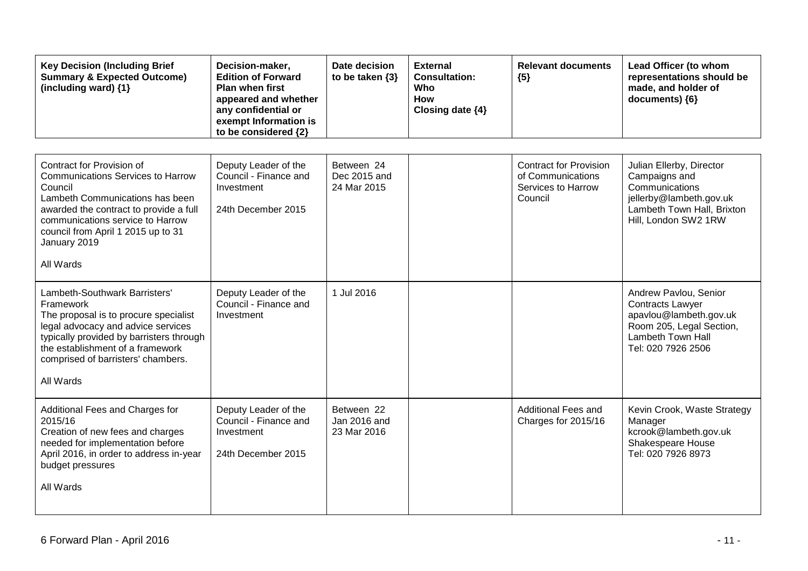| <b>Key Decision (Including Brief</b><br><b>Summary &amp; Expected Outcome)</b><br>(including ward) $\{1\}$                                                                                                                                                           | Decision-maker,<br><b>Edition of Forward</b><br><b>Plan when first</b><br>appeared and whether<br>any confidential or<br>exempt Information is<br>to be considered {2} | Date decision<br>to be taken $\{3\}$      | <b>External</b><br><b>Consultation:</b><br>Who<br><b>How</b><br>Closing date {4} | <b>Relevant documents</b><br>${5}$                                                  | Lead Officer (to whom<br>representations should be<br>made, and holder of<br>documents) {6}                                                              |
|----------------------------------------------------------------------------------------------------------------------------------------------------------------------------------------------------------------------------------------------------------------------|------------------------------------------------------------------------------------------------------------------------------------------------------------------------|-------------------------------------------|----------------------------------------------------------------------------------|-------------------------------------------------------------------------------------|----------------------------------------------------------------------------------------------------------------------------------------------------------|
| Contract for Provision of<br><b>Communications Services to Harrow</b><br>Council<br>Lambeth Communications has been<br>awarded the contract to provide a full<br>communications service to Harrow<br>council from April 1 2015 up to 31<br>January 2019<br>All Wards | Deputy Leader of the<br>Council - Finance and<br>Investment<br>24th December 2015                                                                                      | Between 24<br>Dec 2015 and<br>24 Mar 2015 |                                                                                  | <b>Contract for Provision</b><br>of Communications<br>Services to Harrow<br>Council | Julian Ellerby, Director<br>Campaigns and<br>Communications<br>jellerby@lambeth.gov.uk<br>Lambeth Town Hall, Brixton<br>Hill, London SW2 1RW             |
| Lambeth-Southwark Barristers'<br>Framework<br>The proposal is to procure specialist<br>legal advocacy and advice services<br>typically provided by barristers through<br>the establishment of a framework<br>comprised of barristers' chambers.<br>All Wards         | Deputy Leader of the<br>Council - Finance and<br>Investment                                                                                                            | 1 Jul 2016                                |                                                                                  |                                                                                     | Andrew Pavlou, Senior<br><b>Contracts Lawyer</b><br>apavlou@lambeth.gov.uk<br>Room 205, Legal Section,<br><b>Lambeth Town Hall</b><br>Tel: 020 7926 2506 |
| Additional Fees and Charges for<br>2015/16<br>Creation of new fees and charges<br>needed for implementation before<br>April 2016, in order to address in-year<br>budget pressures<br>All Wards                                                                       | Deputy Leader of the<br>Council - Finance and<br>Investment<br>24th December 2015                                                                                      | Between 22<br>Jan 2016 and<br>23 Mar 2016 |                                                                                  | <b>Additional Fees and</b><br>Charges for 2015/16                                   | Kevin Crook, Waste Strategy<br>Manager<br>kcrook@lambeth.gov.uk<br>Shakespeare House<br>Tel: 020 7926 8973                                               |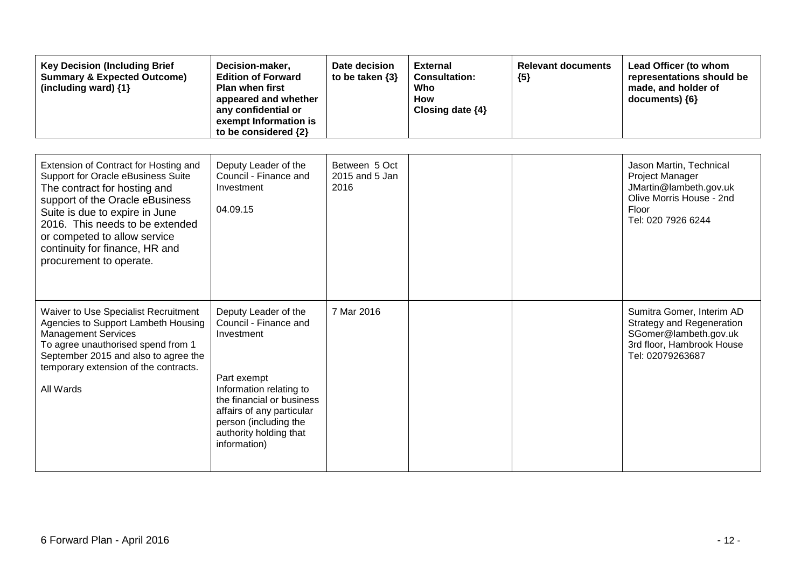| <b>Key Decision (Including Brief</b><br><b>Summary &amp; Expected Outcome)</b><br>(including ward) {1}                                                                                                                                                                                                           | Decision-maker,<br><b>Edition of Forward</b><br><b>Plan when first</b><br>appeared and whether<br>any confidential or<br>exempt Information is<br>to be considered {2}                                                             | Date decision<br>to be taken $\{3\}$    | <b>External</b><br><b>Consultation:</b><br>Who<br>How<br>Closing date {4} | <b>Relevant documents</b><br>${5}$ | Lead Officer (to whom<br>representations should be<br>made, and holder of<br>documents) {6}                                             |
|------------------------------------------------------------------------------------------------------------------------------------------------------------------------------------------------------------------------------------------------------------------------------------------------------------------|------------------------------------------------------------------------------------------------------------------------------------------------------------------------------------------------------------------------------------|-----------------------------------------|---------------------------------------------------------------------------|------------------------------------|-----------------------------------------------------------------------------------------------------------------------------------------|
| Extension of Contract for Hosting and<br>Support for Oracle eBusiness Suite<br>The contract for hosting and<br>support of the Oracle eBusiness<br>Suite is due to expire in June<br>2016. This needs to be extended<br>or competed to allow service<br>continuity for finance, HR and<br>procurement to operate. | Deputy Leader of the<br>Council - Finance and<br>Investment<br>04.09.15                                                                                                                                                            | Between 5 Oct<br>2015 and 5 Jan<br>2016 |                                                                           |                                    | Jason Martin, Technical<br>Project Manager<br>JMartin@lambeth.gov.uk<br>Olive Morris House - 2nd<br>Floor<br>Tel: 020 7926 6244         |
| Waiver to Use Specialist Recruitment<br>Agencies to Support Lambeth Housing<br><b>Management Services</b><br>To agree unauthorised spend from 1<br>September 2015 and also to agree the<br>temporary extension of the contracts.<br>All Wards                                                                    | Deputy Leader of the<br>Council - Finance and<br>Investment<br>Part exempt<br>Information relating to<br>the financial or business<br>affairs of any particular<br>person (including the<br>authority holding that<br>information) | 7 Mar 2016                              |                                                                           |                                    | Sumitra Gomer, Interim AD<br><b>Strategy and Regeneration</b><br>SGomer@lambeth.gov.uk<br>3rd floor, Hambrook House<br>Tel: 02079263687 |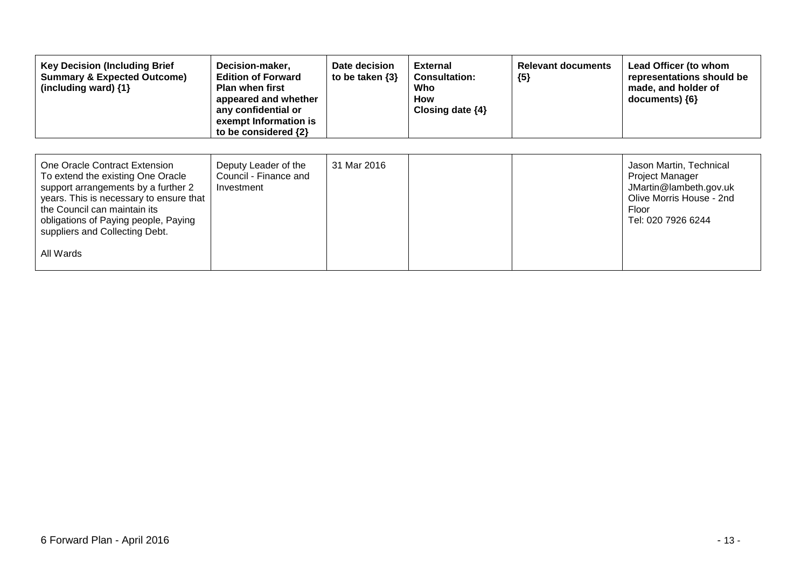| <b>Key Decision (Including Brief</b><br><b>Summary &amp; Expected Outcome)</b><br>(including ward) {1}                                                                                                                                                                      | Decision-maker,<br><b>Edition of Forward</b><br><b>Plan when first</b><br>appeared and whether<br>any confidential or<br>exempt Information is<br>to be considered {2} | Date decision<br>to be taken $\{3\}$ | <b>External</b><br><b>Consultation:</b><br>Who<br>How<br>Closing date $\{4\}$ | <b>Relevant documents</b><br>${5}$ | Lead Officer (to whom<br>representations should be<br>made, and holder of<br>documents) ${6}$                                          |
|-----------------------------------------------------------------------------------------------------------------------------------------------------------------------------------------------------------------------------------------------------------------------------|------------------------------------------------------------------------------------------------------------------------------------------------------------------------|--------------------------------------|-------------------------------------------------------------------------------|------------------------------------|----------------------------------------------------------------------------------------------------------------------------------------|
| One Oracle Contract Extension<br>To extend the existing One Oracle<br>support arrangements by a further 2<br>years. This is necessary to ensure that<br>the Council can maintain its<br>obligations of Paying people, Paying<br>suppliers and Collecting Debt.<br>All Wards | Deputy Leader of the<br>Council - Finance and<br>Investment                                                                                                            | 31 Mar 2016                          |                                                                               |                                    | Jason Martin, Technical<br><b>Project Manager</b><br>JMartin@lambeth.gov.uk<br>Olive Morris House - 2nd<br>Floor<br>Tel: 020 7926 6244 |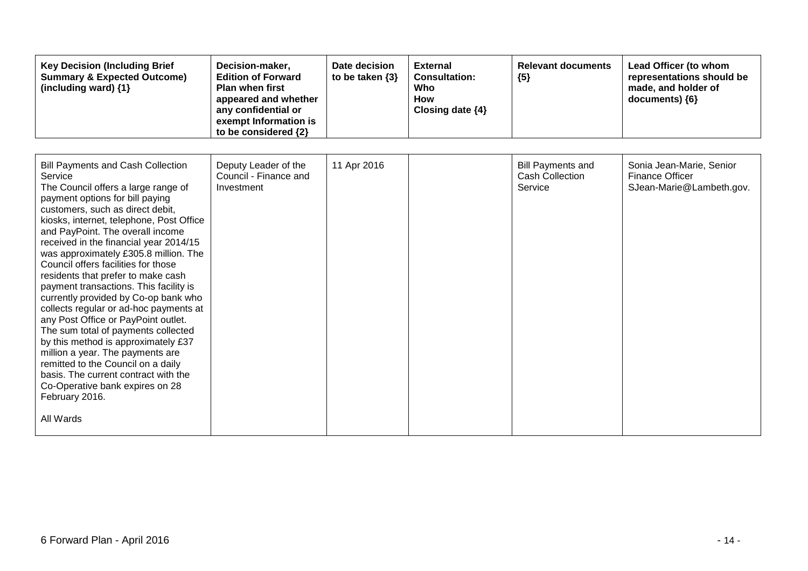| <b>Key Decision (Including Brief</b><br><b>Summary &amp; Expected Outcome)</b><br>(including ward) {1}                                                                                                                                                                                                                                                                                                                                                                                                                                                                                                                                                                                                                                                                                                                                                 | Decision-maker,<br><b>Edition of Forward</b><br><b>Plan when first</b><br>appeared and whether<br>any confidential or<br>exempt Information is<br>to be considered {2} | Date decision<br>to be taken $\{3\}$ | <b>External</b><br><b>Consultation:</b><br>Who<br><b>How</b><br>Closing date $\{4\}$ | <b>Relevant documents</b><br>${5}$                            | Lead Officer (to whom<br>representations should be<br>made, and holder of<br>documents) ${6}$ |
|--------------------------------------------------------------------------------------------------------------------------------------------------------------------------------------------------------------------------------------------------------------------------------------------------------------------------------------------------------------------------------------------------------------------------------------------------------------------------------------------------------------------------------------------------------------------------------------------------------------------------------------------------------------------------------------------------------------------------------------------------------------------------------------------------------------------------------------------------------|------------------------------------------------------------------------------------------------------------------------------------------------------------------------|--------------------------------------|--------------------------------------------------------------------------------------|---------------------------------------------------------------|-----------------------------------------------------------------------------------------------|
| <b>Bill Payments and Cash Collection</b><br>Service<br>The Council offers a large range of<br>payment options for bill paying<br>customers, such as direct debit,<br>kiosks, internet, telephone, Post Office<br>and PayPoint. The overall income<br>received in the financial year 2014/15<br>was approximately £305.8 million. The<br>Council offers facilities for those<br>residents that prefer to make cash<br>payment transactions. This facility is<br>currently provided by Co-op bank who<br>collects regular or ad-hoc payments at<br>any Post Office or PayPoint outlet.<br>The sum total of payments collected<br>by this method is approximately £37<br>million a year. The payments are<br>remitted to the Council on a daily<br>basis. The current contract with the<br>Co-Operative bank expires on 28<br>February 2016.<br>All Wards | Deputy Leader of the<br>Council - Finance and<br>Investment                                                                                                            | 11 Apr 2016                          |                                                                                      | <b>Bill Payments and</b><br><b>Cash Collection</b><br>Service | Sonia Jean-Marie, Senior<br><b>Finance Officer</b><br>SJean-Marie@Lambeth.gov.                |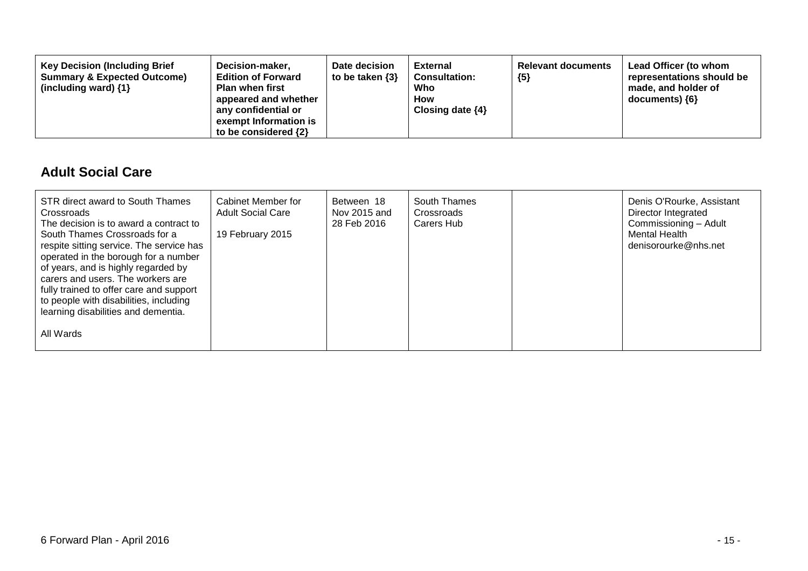| <b>Key Decision (Including Brief</b><br>Decision-maker,<br><b>Summary &amp; Expected Outcome)</b><br><b>Edition of Forward</b><br><b>Plan when first</b><br>(including ward) $\{1\}$<br>appeared and whether<br>any confidential or<br>exempt Information is<br>to be considered $\{2\}$ | Date decision<br>to be taken $\{3\}$ | <b>External</b><br><b>Consultation:</b><br>Who<br><b>How</b><br>Closing date $\{4\}$ | <b>Relevant documents</b><br>${5}$ | Lead Officer (to whom<br>representations should be<br>made, and holder of<br>$documents)$ {6} |
|------------------------------------------------------------------------------------------------------------------------------------------------------------------------------------------------------------------------------------------------------------------------------------------|--------------------------------------|--------------------------------------------------------------------------------------|------------------------------------|-----------------------------------------------------------------------------------------------|
|------------------------------------------------------------------------------------------------------------------------------------------------------------------------------------------------------------------------------------------------------------------------------------------|--------------------------------------|--------------------------------------------------------------------------------------|------------------------------------|-----------------------------------------------------------------------------------------------|

#### **Adult Social Care**

| STR direct award to South Thames<br>Crossroads<br>The decision is to award a contract to<br>South Thames Crossroads for a<br>respite sitting service. The service has<br>operated in the borough for a number<br>of years, and is highly regarded by<br>carers and users. The workers are<br>fully trained to offer care and support<br>to people with disabilities, including<br>learning disabilities and dementia. | Cabinet Member for<br><b>Adult Social Care</b><br>19 February 2015 | Between 18<br>Nov 2015 and<br>28 Feb 2016 | South Thames<br>Crossroads<br>Carers Hub | Denis O'Rourke, Assistant<br>Director Integrated<br>Commissioning - Adult<br>Mental Health<br>denisorourke@nhs.net |
|-----------------------------------------------------------------------------------------------------------------------------------------------------------------------------------------------------------------------------------------------------------------------------------------------------------------------------------------------------------------------------------------------------------------------|--------------------------------------------------------------------|-------------------------------------------|------------------------------------------|--------------------------------------------------------------------------------------------------------------------|
| All Wards                                                                                                                                                                                                                                                                                                                                                                                                             |                                                                    |                                           |                                          |                                                                                                                    |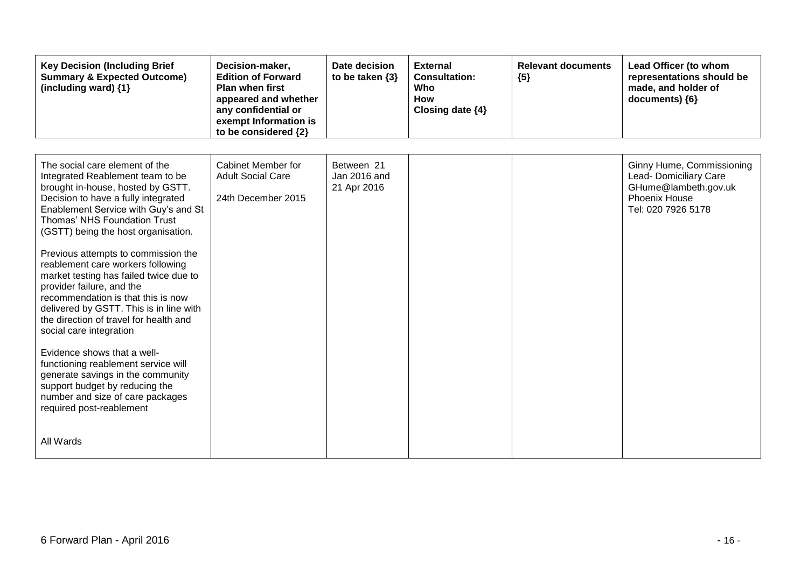| <b>Key Decision (Including Brief</b><br><b>Summary &amp; Expected Outcome)</b><br>(including ward) {1}                                                                                                                                                                                                                                                                                                                                                                                                                                                                                                                                                                                                                                                                                           | Decision-maker,<br><b>Edition of Forward</b><br><b>Plan when first</b><br>appeared and whether<br>any confidential or<br>exempt Information is<br>to be considered {2} | Date decision<br>to be taken $\{3\}$      | <b>External</b><br><b>Consultation:</b><br>Who<br><b>How</b><br>Closing date {4} | <b>Relevant documents</b><br>${5}$ | Lead Officer (to whom<br>representations should be<br>made, and holder of<br>documents) {6}                        |
|--------------------------------------------------------------------------------------------------------------------------------------------------------------------------------------------------------------------------------------------------------------------------------------------------------------------------------------------------------------------------------------------------------------------------------------------------------------------------------------------------------------------------------------------------------------------------------------------------------------------------------------------------------------------------------------------------------------------------------------------------------------------------------------------------|------------------------------------------------------------------------------------------------------------------------------------------------------------------------|-------------------------------------------|----------------------------------------------------------------------------------|------------------------------------|--------------------------------------------------------------------------------------------------------------------|
| The social care element of the<br>Integrated Reablement team to be<br>brought in-house, hosted by GSTT.<br>Decision to have a fully integrated<br>Enablement Service with Guy's and St<br>Thomas' NHS Foundation Trust<br>(GSTT) being the host organisation.<br>Previous attempts to commission the<br>reablement care workers following<br>market testing has failed twice due to<br>provider failure, and the<br>recommendation is that this is now<br>delivered by GSTT. This is in line with<br>the direction of travel for health and<br>social care integration<br>Evidence shows that a well-<br>functioning reablement service will<br>generate savings in the community<br>support budget by reducing the<br>number and size of care packages<br>required post-reablement<br>All Wards | Cabinet Member for<br><b>Adult Social Care</b><br>24th December 2015                                                                                                   | Between 21<br>Jan 2016 and<br>21 Apr 2016 |                                                                                  |                                    | Ginny Hume, Commissioning<br>Lead- Domiciliary Care<br>GHume@lambeth.gov.uk<br>Phoenix House<br>Tel: 020 7926 5178 |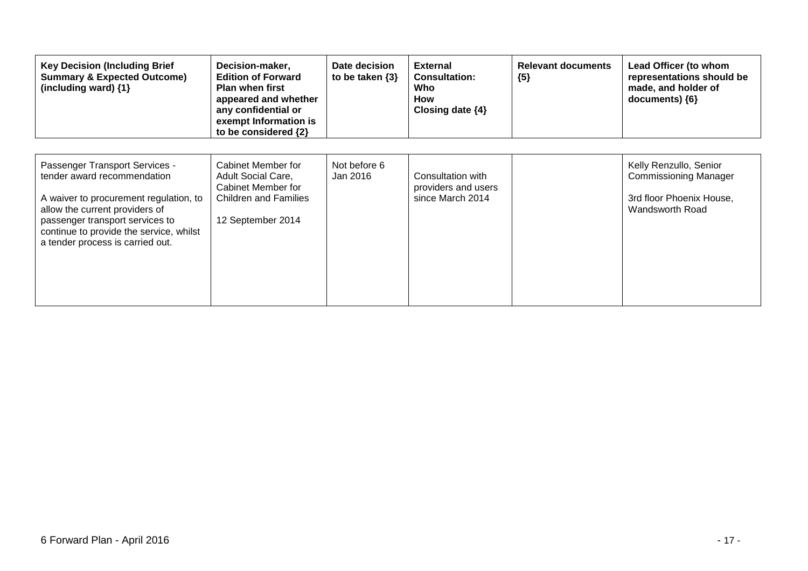| <b>Key Decision (Including Brief</b><br><b>Summary &amp; Expected Outcome)</b><br>(including ward) $\{1\}$                                                                                                                                                  | Decision-maker,<br><b>Edition of Forward</b><br><b>Plan when first</b><br>appeared and whether<br>any confidential or<br>exempt Information is<br>to be considered {2} | Date decision<br>to be taken $\{3\}$ | <b>External</b><br><b>Consultation:</b><br>Who<br>How<br>Closing date $\{4\}$ | <b>Relevant documents</b><br>${5}$ | Lead Officer (to whom<br>representations should be<br>made, and holder of<br>documents) ${6}$         |
|-------------------------------------------------------------------------------------------------------------------------------------------------------------------------------------------------------------------------------------------------------------|------------------------------------------------------------------------------------------------------------------------------------------------------------------------|--------------------------------------|-------------------------------------------------------------------------------|------------------------------------|-------------------------------------------------------------------------------------------------------|
| Passenger Transport Services -<br>tender award recommendation<br>A waiver to procurement regulation, to<br>allow the current providers of<br>passenger transport services to<br>continue to provide the service, whilst<br>a tender process is carried out. | Cabinet Member for<br><b>Adult Social Care,</b><br>Cabinet Member for<br><b>Children and Families</b><br>12 September 2014                                             | Not before 6<br>Jan 2016             | Consultation with<br>providers and users<br>since March 2014                  |                                    | Kelly Renzullo, Senior<br><b>Commissioning Manager</b><br>3rd floor Phoenix House,<br>Wandsworth Road |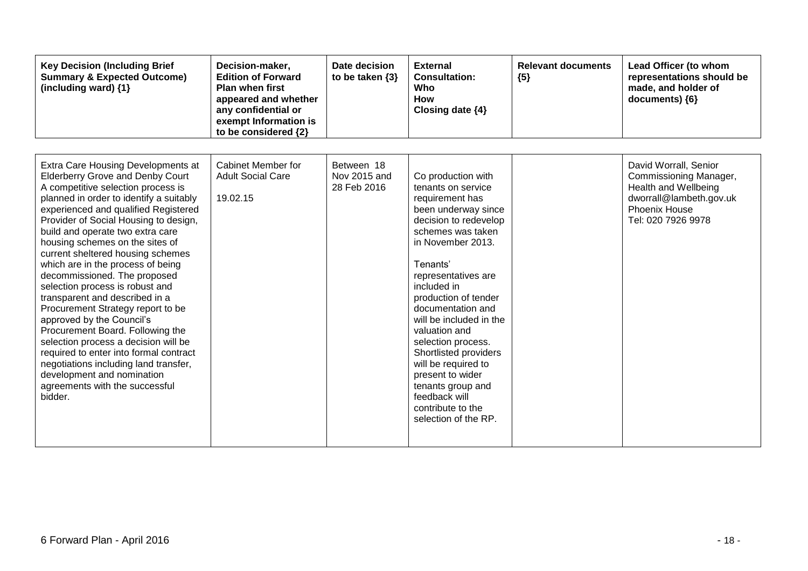| <b>Key Decision (Including Brief</b><br><b>Summary &amp; Expected Outcome)</b><br>(including ward) {1}                                                                                                                                                                                                                                                                                                                                                                                                                                                                                                                                                                                                                                                                                                            | Decision-maker,<br><b>Edition of Forward</b><br><b>Plan when first</b><br>appeared and whether<br>any confidential or<br>exempt Information is<br>to be considered {2} | Date decision<br>to be taken $\{3\}$      | <b>External</b><br><b>Consultation:</b><br>Who<br><b>How</b><br>Closing date {4}                                                                                                                                                                                                                                                                                                                                                                                              | <b>Relevant documents</b><br>${5}$ | Lead Officer (to whom<br>representations should be<br>made, and holder of<br>documents) ${6}$                                             |
|-------------------------------------------------------------------------------------------------------------------------------------------------------------------------------------------------------------------------------------------------------------------------------------------------------------------------------------------------------------------------------------------------------------------------------------------------------------------------------------------------------------------------------------------------------------------------------------------------------------------------------------------------------------------------------------------------------------------------------------------------------------------------------------------------------------------|------------------------------------------------------------------------------------------------------------------------------------------------------------------------|-------------------------------------------|-------------------------------------------------------------------------------------------------------------------------------------------------------------------------------------------------------------------------------------------------------------------------------------------------------------------------------------------------------------------------------------------------------------------------------------------------------------------------------|------------------------------------|-------------------------------------------------------------------------------------------------------------------------------------------|
| Extra Care Housing Developments at<br><b>Elderberry Grove and Denby Court</b><br>A competitive selection process is<br>planned in order to identify a suitably<br>experienced and qualified Registered<br>Provider of Social Housing to design,<br>build and operate two extra care<br>housing schemes on the sites of<br>current sheltered housing schemes<br>which are in the process of being<br>decommissioned. The proposed<br>selection process is robust and<br>transparent and described in a<br>Procurement Strategy report to be<br>approved by the Council's<br>Procurement Board. Following the<br>selection process a decision will be<br>required to enter into formal contract<br>negotiations including land transfer,<br>development and nomination<br>agreements with the successful<br>bidder. | Cabinet Member for<br><b>Adult Social Care</b><br>19.02.15                                                                                                             | Between 18<br>Nov 2015 and<br>28 Feb 2016 | Co production with<br>tenants on service<br>requirement has<br>been underway since<br>decision to redevelop<br>schemes was taken<br>in November 2013.<br>Tenants'<br>representatives are<br>included in<br>production of tender<br>documentation and<br>will be included in the<br>valuation and<br>selection process.<br>Shortlisted providers<br>will be required to<br>present to wider<br>tenants group and<br>feedback will<br>contribute to the<br>selection of the RP. |                                    | David Worrall, Senior<br>Commissioning Manager,<br>Health and Wellbeing<br>dworrall@lambeth.gov.uk<br>Phoenix House<br>Tel: 020 7926 9978 |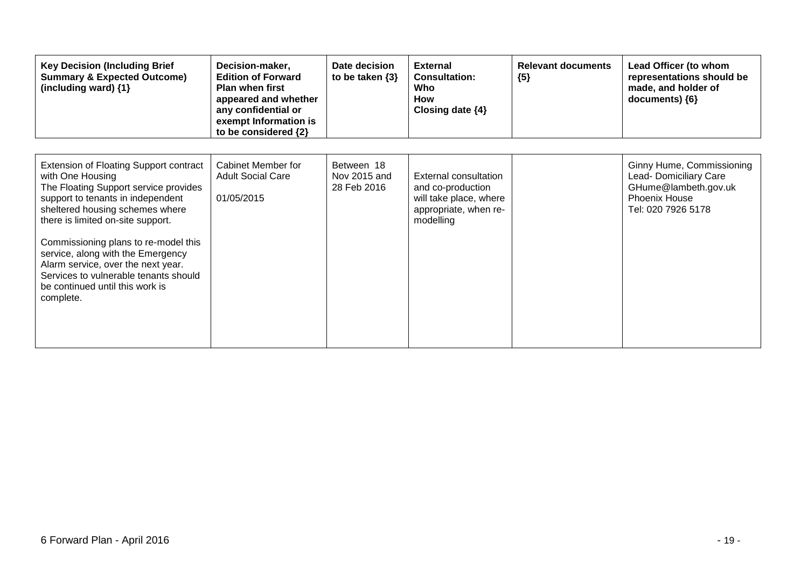| <b>Key Decision (Including Brief</b><br><b>Summary &amp; Expected Outcome)</b><br>(including ward) {1}                                                                                                                                                                                                                                                                                                                       | Decision-maker,<br><b>Edition of Forward</b><br>Plan when first<br>appeared and whether<br>any confidential or<br>exempt Information is<br>to be considered {2} | Date decision<br>to be taken $\{3\}$      | <b>External</b><br><b>Consultation:</b><br>Who<br>How<br>Closing date $\{4\}$                              | <b>Relevant documents</b><br>${5}$ | Lead Officer (to whom<br>representations should be<br>made, and holder of<br>documents) ${6}$                      |
|------------------------------------------------------------------------------------------------------------------------------------------------------------------------------------------------------------------------------------------------------------------------------------------------------------------------------------------------------------------------------------------------------------------------------|-----------------------------------------------------------------------------------------------------------------------------------------------------------------|-------------------------------------------|------------------------------------------------------------------------------------------------------------|------------------------------------|--------------------------------------------------------------------------------------------------------------------|
| Extension of Floating Support contract<br>with One Housing<br>The Floating Support service provides<br>support to tenants in independent<br>sheltered housing schemes where<br>there is limited on-site support.<br>Commissioning plans to re-model this<br>service, along with the Emergency<br>Alarm service, over the next year.<br>Services to vulnerable tenants should<br>be continued until this work is<br>complete. | Cabinet Member for<br><b>Adult Social Care</b><br>01/05/2015                                                                                                    | Between 18<br>Nov 2015 and<br>28 Feb 2016 | External consultation<br>and co-production<br>will take place, where<br>appropriate, when re-<br>modelling |                                    | Ginny Hume, Commissioning<br>Lead- Domiciliary Care<br>GHume@lambeth.gov.uk<br>Phoenix House<br>Tel: 020 7926 5178 |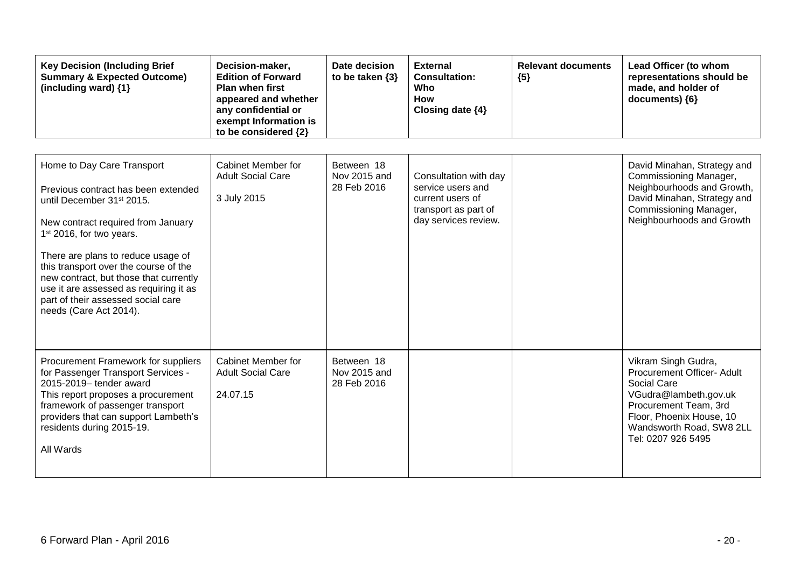| <b>Key Decision (Including Brief</b><br><b>Summary &amp; Expected Outcome)</b><br>(including ward) {1}                                                                                                                                                                                                                                                                                                                      | Decision-maker,<br><b>Edition of Forward</b><br><b>Plan when first</b><br>appeared and whether<br>any confidential or<br>exempt Information is<br>to be considered {2} | Date decision<br>to be taken $\{3\}$      | <b>External</b><br><b>Consultation:</b><br>Who<br><b>How</b><br>Closing date {4}                               | <b>Relevant documents</b><br>${5}$ | Lead Officer (to whom<br>representations should be<br>made, and holder of<br>documents) {6}                                                                                                      |
|-----------------------------------------------------------------------------------------------------------------------------------------------------------------------------------------------------------------------------------------------------------------------------------------------------------------------------------------------------------------------------------------------------------------------------|------------------------------------------------------------------------------------------------------------------------------------------------------------------------|-------------------------------------------|----------------------------------------------------------------------------------------------------------------|------------------------------------|--------------------------------------------------------------------------------------------------------------------------------------------------------------------------------------------------|
| Home to Day Care Transport<br>Previous contract has been extended<br>until December 31 <sup>st</sup> 2015.<br>New contract required from January<br>1 <sup>st</sup> 2016, for two years.<br>There are plans to reduce usage of<br>this transport over the course of the<br>new contract, but those that currently<br>use it are assessed as requiring it as<br>part of their assessed social care<br>needs (Care Act 2014). | Cabinet Member for<br><b>Adult Social Care</b><br>3 July 2015                                                                                                          | Between 18<br>Nov 2015 and<br>28 Feb 2016 | Consultation with day<br>service users and<br>current users of<br>transport as part of<br>day services review. |                                    | David Minahan, Strategy and<br>Commissioning Manager,<br>Neighbourhoods and Growth,<br>David Minahan, Strategy and<br>Commissioning Manager,<br>Neighbourhoods and Growth                        |
| Procurement Framework for suppliers<br>for Passenger Transport Services -<br>2015-2019- tender award<br>This report proposes a procurement<br>framework of passenger transport<br>providers that can support Lambeth's<br>residents during 2015-19.<br>All Wards                                                                                                                                                            | Cabinet Member for<br><b>Adult Social Care</b><br>24.07.15                                                                                                             | Between 18<br>Nov 2015 and<br>28 Feb 2016 |                                                                                                                |                                    | Vikram Singh Gudra,<br>Procurement Officer- Adult<br>Social Care<br>VGudra@lambeth.gov.uk<br>Procurement Team, 3rd<br>Floor, Phoenix House, 10<br>Wandsworth Road, SW8 2LL<br>Tel: 0207 926 5495 |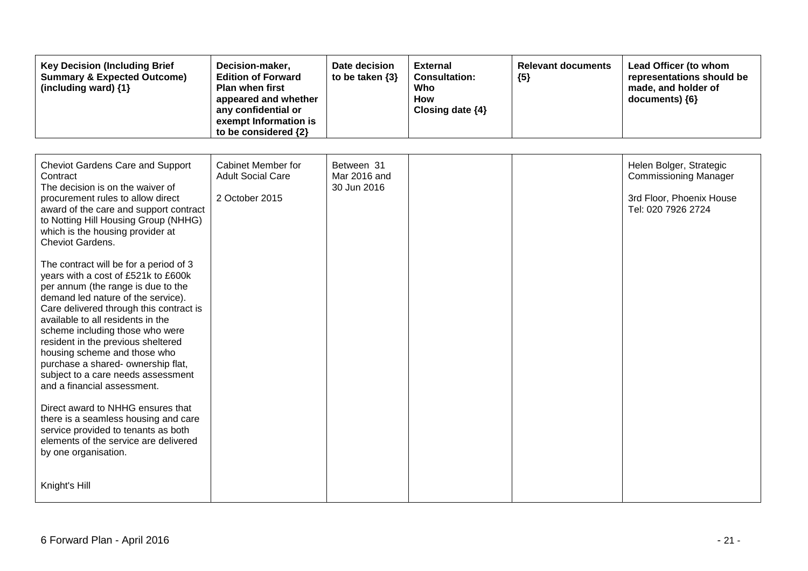| <b>Key Decision (Including Brief</b><br><b>Summary &amp; Expected Outcome)</b><br>(including ward) {1}                                                                                                                                                                                                                                                                                                                                                                                                                                                                                                                                                                                                                                                                                                                                                                                                                       | Decision-maker,<br><b>Edition of Forward</b><br>Plan when first<br>appeared and whether<br>any confidential or<br>exempt Information is<br>to be considered {2} | Date decision<br>to be taken $\{3\}$      | <b>External</b><br><b>Consultation:</b><br>Who<br><b>How</b><br>Closing date {4} | <b>Relevant documents</b><br>${5}$ | Lead Officer (to whom<br>representations should be<br>made, and holder of<br>documents) {6}               |
|------------------------------------------------------------------------------------------------------------------------------------------------------------------------------------------------------------------------------------------------------------------------------------------------------------------------------------------------------------------------------------------------------------------------------------------------------------------------------------------------------------------------------------------------------------------------------------------------------------------------------------------------------------------------------------------------------------------------------------------------------------------------------------------------------------------------------------------------------------------------------------------------------------------------------|-----------------------------------------------------------------------------------------------------------------------------------------------------------------|-------------------------------------------|----------------------------------------------------------------------------------|------------------------------------|-----------------------------------------------------------------------------------------------------------|
| <b>Cheviot Gardens Care and Support</b><br>Contract<br>The decision is on the waiver of<br>procurement rules to allow direct<br>award of the care and support contract<br>to Notting Hill Housing Group (NHHG)<br>which is the housing provider at<br>Cheviot Gardens.<br>The contract will be for a period of 3<br>years with a cost of £521k to £600k<br>per annum (the range is due to the<br>demand led nature of the service).<br>Care delivered through this contract is<br>available to all residents in the<br>scheme including those who were<br>resident in the previous sheltered<br>housing scheme and those who<br>purchase a shared- ownership flat,<br>subject to a care needs assessment<br>and a financial assessment.<br>Direct award to NHHG ensures that<br>there is a seamless housing and care<br>service provided to tenants as both<br>elements of the service are delivered<br>by one organisation. | Cabinet Member for<br><b>Adult Social Care</b><br>2 October 2015                                                                                                | Between 31<br>Mar 2016 and<br>30 Jun 2016 |                                                                                  |                                    | Helen Bolger, Strategic<br><b>Commissioning Manager</b><br>3rd Floor, Phoenix House<br>Tel: 020 7926 2724 |
| Knight's Hill                                                                                                                                                                                                                                                                                                                                                                                                                                                                                                                                                                                                                                                                                                                                                                                                                                                                                                                |                                                                                                                                                                 |                                           |                                                                                  |                                    |                                                                                                           |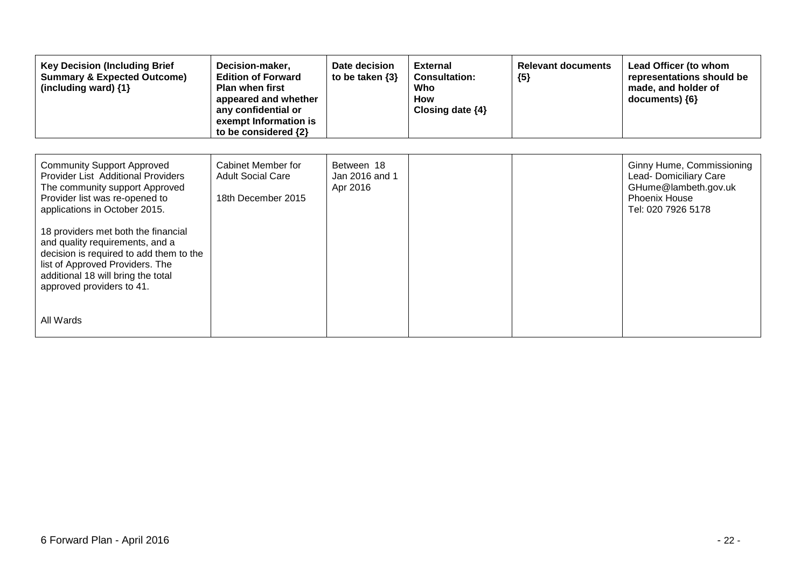| <b>Key Decision (Including Brief</b><br><b>Summary &amp; Expected Outcome)</b><br>(including ward) $\{1\}$                                                                                                                                                                                                                                                                                                                  | Decision-maker,<br><b>Edition of Forward</b><br><b>Plan when first</b><br>appeared and whether<br>any confidential or<br>exempt Information is<br>to be considered {2} | Date decision<br>to be taken $\{3\}$     | <b>External</b><br><b>Consultation:</b><br>Who<br><b>How</b><br>Closing date $\{4\}$ | <b>Relevant documents</b><br>${5}$ | Lead Officer (to whom<br>representations should be<br>made, and holder of<br>documents) {6}                               |
|-----------------------------------------------------------------------------------------------------------------------------------------------------------------------------------------------------------------------------------------------------------------------------------------------------------------------------------------------------------------------------------------------------------------------------|------------------------------------------------------------------------------------------------------------------------------------------------------------------------|------------------------------------------|--------------------------------------------------------------------------------------|------------------------------------|---------------------------------------------------------------------------------------------------------------------------|
| <b>Community Support Approved</b><br><b>Provider List Additional Providers</b><br>The community support Approved<br>Provider list was re-opened to<br>applications in October 2015.<br>18 providers met both the financial<br>and quality requirements, and a<br>decision is required to add them to the<br>list of Approved Providers. The<br>additional 18 will bring the total<br>approved providers to 41.<br>All Wards | Cabinet Member for<br><b>Adult Social Care</b><br>18th December 2015                                                                                                   | Between 18<br>Jan 2016 and 1<br>Apr 2016 |                                                                                      |                                    | Ginny Hume, Commissioning<br>Lead- Domiciliary Care<br>GHume@lambeth.gov.uk<br><b>Phoenix House</b><br>Tel: 020 7926 5178 |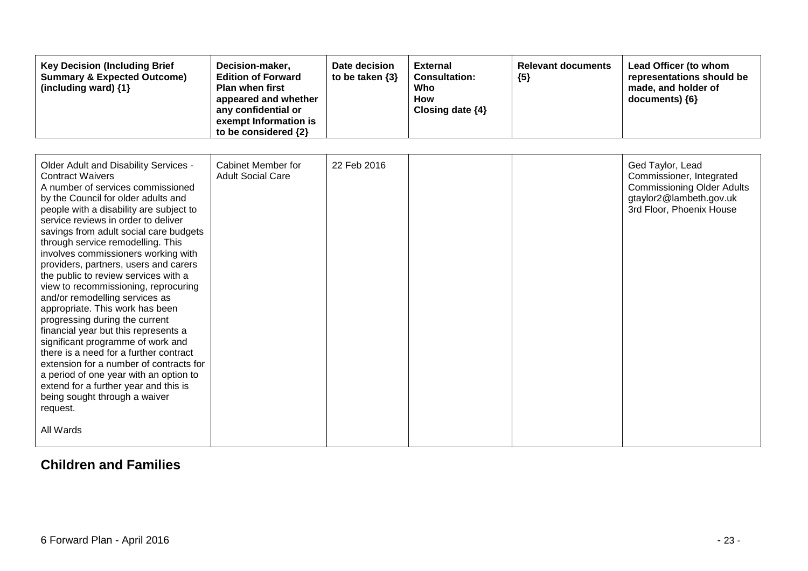| <b>Key Decision (Including Brief</b><br><b>Summary &amp; Expected Outcome)</b><br>(including ward) {1}                                                                                                                                                                                                                                                                                                                                                                                                                                                                                                                                                                                                                                                                                                                                                                                              | Decision-maker,<br><b>Edition of Forward</b><br><b>Plan when first</b><br>appeared and whether<br>any confidential or<br>exempt Information is<br>to be considered {2} | Date decision<br>to be taken $\{3\}$ | <b>External</b><br><b>Consultation:</b><br>Who<br><b>How</b><br>Closing date {4} | <b>Relevant documents</b><br>${5}$ | Lead Officer (to whom<br>representations should be<br>made, and holder of<br>documents) {6}                                              |
|-----------------------------------------------------------------------------------------------------------------------------------------------------------------------------------------------------------------------------------------------------------------------------------------------------------------------------------------------------------------------------------------------------------------------------------------------------------------------------------------------------------------------------------------------------------------------------------------------------------------------------------------------------------------------------------------------------------------------------------------------------------------------------------------------------------------------------------------------------------------------------------------------------|------------------------------------------------------------------------------------------------------------------------------------------------------------------------|--------------------------------------|----------------------------------------------------------------------------------|------------------------------------|------------------------------------------------------------------------------------------------------------------------------------------|
| Older Adult and Disability Services -<br><b>Contract Waivers</b><br>A number of services commissioned<br>by the Council for older adults and<br>people with a disability are subject to<br>service reviews in order to deliver<br>savings from adult social care budgets<br>through service remodelling. This<br>involves commissioners working with<br>providers, partners, users and carers<br>the public to review services with a<br>view to recommissioning, reprocuring<br>and/or remodelling services as<br>appropriate. This work has been<br>progressing during the current<br>financial year but this represents a<br>significant programme of work and<br>there is a need for a further contract<br>extension for a number of contracts for<br>a period of one year with an option to<br>extend for a further year and this is<br>being sought through a waiver<br>request.<br>All Wards | Cabinet Member for<br><b>Adult Social Care</b>                                                                                                                         | 22 Feb 2016                          |                                                                                  |                                    | Ged Taylor, Lead<br>Commissioner, Integrated<br><b>Commissioning Older Adults</b><br>gtaylor2@lambeth.gov.uk<br>3rd Floor, Phoenix House |

#### **Children and Families**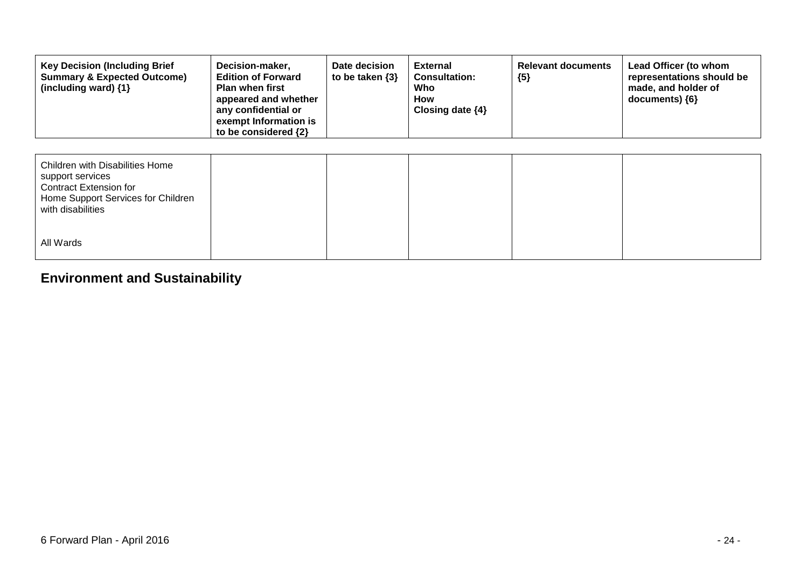| <b>Key Decision (Including Brief</b><br><b>Summary &amp; Expected Outcome)</b><br>(including ward) $\{1\}$                               | Decision-maker,<br><b>Edition of Forward</b><br><b>Plan when first</b><br>appeared and whether<br>any confidential or<br>exempt Information is<br>to be considered {2} | Date decision<br>to be taken $\{3\}$ | <b>External</b><br><b>Consultation:</b><br>Who<br>How<br>Closing date $\{4\}$ | <b>Relevant documents</b><br>${5}$ | Lead Officer (to whom<br>representations should be<br>made, and holder of<br>documents) {6} |
|------------------------------------------------------------------------------------------------------------------------------------------|------------------------------------------------------------------------------------------------------------------------------------------------------------------------|--------------------------------------|-------------------------------------------------------------------------------|------------------------------------|---------------------------------------------------------------------------------------------|
| Children with Disabilities Home<br>support services<br>Contract Extension for<br>Home Support Services for Children<br>with disabilities |                                                                                                                                                                        |                                      |                                                                               |                                    |                                                                                             |
| All Wards                                                                                                                                |                                                                                                                                                                        |                                      |                                                                               |                                    |                                                                                             |

## **Environment and Sustainability**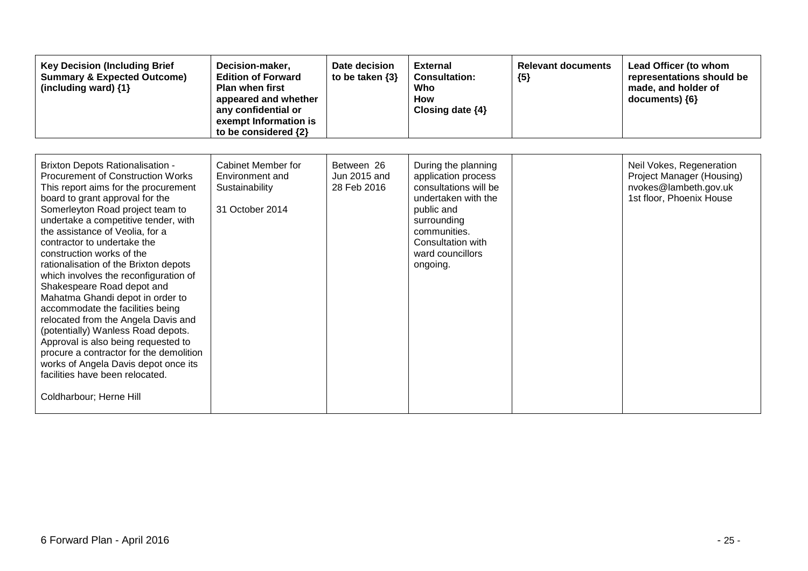| <b>Key Decision (Including Brief</b><br><b>Summary &amp; Expected Outcome)</b><br>(including ward) {1}                                                                                                                                                                                                                                                                                                                                                                                                                                                                                                                                                                                                                                                                                                 | Decision-maker,<br><b>Edition of Forward</b><br><b>Plan when first</b><br>appeared and whether<br>any confidential or<br>exempt Information is<br>to be considered {2} | Date decision<br>to be taken $\{3\}$      | <b>External</b><br><b>Consultation:</b><br>Who<br>How<br>Closing date {4}                                                                                                                    | <b>Relevant documents</b><br>${5}$ | Lead Officer (to whom<br>representations should be<br>made, and holder of<br>documents) {6}                       |
|--------------------------------------------------------------------------------------------------------------------------------------------------------------------------------------------------------------------------------------------------------------------------------------------------------------------------------------------------------------------------------------------------------------------------------------------------------------------------------------------------------------------------------------------------------------------------------------------------------------------------------------------------------------------------------------------------------------------------------------------------------------------------------------------------------|------------------------------------------------------------------------------------------------------------------------------------------------------------------------|-------------------------------------------|----------------------------------------------------------------------------------------------------------------------------------------------------------------------------------------------|------------------------------------|-------------------------------------------------------------------------------------------------------------------|
| <b>Brixton Depots Rationalisation -</b><br><b>Procurement of Construction Works</b><br>This report aims for the procurement<br>board to grant approval for the<br>Somerleyton Road project team to<br>undertake a competitive tender, with<br>the assistance of Veolia, for a<br>contractor to undertake the<br>construction works of the<br>rationalisation of the Brixton depots<br>which involves the reconfiguration of<br>Shakespeare Road depot and<br>Mahatma Ghandi depot in order to<br>accommodate the facilities being<br>relocated from the Angela Davis and<br>(potentially) Wanless Road depots.<br>Approval is also being requested to<br>procure a contractor for the demolition<br>works of Angela Davis depot once its<br>facilities have been relocated.<br>Coldharbour; Herne Hill | Cabinet Member for<br>Environment and<br>Sustainability<br>31 October 2014                                                                                             | Between 26<br>Jun 2015 and<br>28 Feb 2016 | During the planning<br>application process<br>consultations will be<br>undertaken with the<br>public and<br>surrounding<br>communities.<br>Consultation with<br>ward councillors<br>ongoing. |                                    | Neil Vokes, Regeneration<br><b>Project Manager (Housing)</b><br>nvokes@lambeth.gov.uk<br>1st floor, Phoenix House |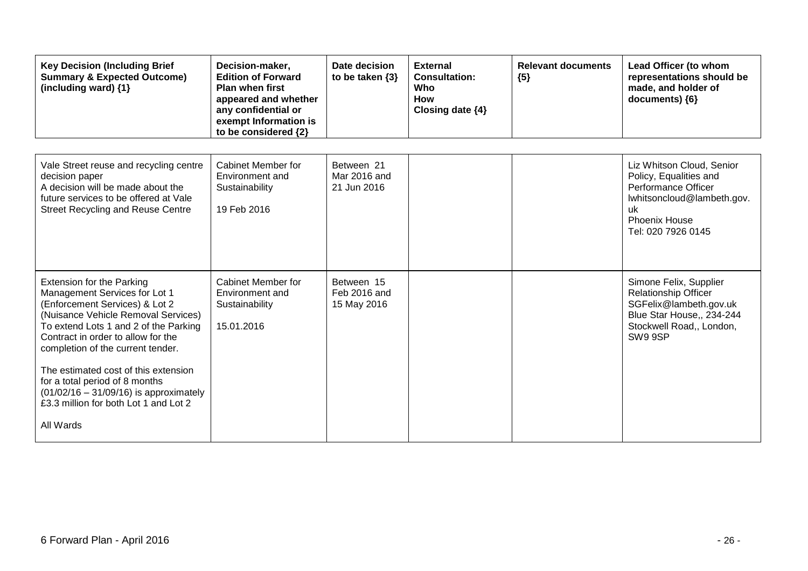| <b>Key Decision (Including Brief</b><br><b>Summary &amp; Expected Outcome)</b><br>(including ward) {1}                                                                                                                                                                                                                                                                                                                                     | Decision-maker,<br><b>Edition of Forward</b><br><b>Plan when first</b><br>appeared and whether<br>any confidential or<br>exempt Information is<br>to be considered {2} | Date decision<br>to be taken $\{3\}$      | <b>External</b><br><b>Consultation:</b><br>Who<br><b>How</b><br>Closing date {4} | <b>Relevant documents</b><br>${5}$ | Lead Officer (to whom<br>representations should be<br>made, and holder of<br>documents) {6}                                                                  |
|--------------------------------------------------------------------------------------------------------------------------------------------------------------------------------------------------------------------------------------------------------------------------------------------------------------------------------------------------------------------------------------------------------------------------------------------|------------------------------------------------------------------------------------------------------------------------------------------------------------------------|-------------------------------------------|----------------------------------------------------------------------------------|------------------------------------|--------------------------------------------------------------------------------------------------------------------------------------------------------------|
| Vale Street reuse and recycling centre<br>decision paper<br>A decision will be made about the<br>future services to be offered at Vale<br><b>Street Recycling and Reuse Centre</b>                                                                                                                                                                                                                                                         | <b>Cabinet Member for</b><br>Environment and<br>Sustainability<br>19 Feb 2016                                                                                          | Between 21<br>Mar 2016 and<br>21 Jun 2016 |                                                                                  |                                    | Liz Whitson Cloud, Senior<br>Policy, Equalities and<br>Performance Officer<br>Iwhitsoncloud@lambeth.gov.<br>uk<br><b>Phoenix House</b><br>Tel: 020 7926 0145 |
| <b>Extension for the Parking</b><br>Management Services for Lot 1<br>(Enforcement Services) & Lot 2<br>(Nuisance Vehicle Removal Services)<br>To extend Lots 1 and 2 of the Parking<br>Contract in order to allow for the<br>completion of the current tender.<br>The estimated cost of this extension<br>for a total period of 8 months<br>$(01/02/16 - 31/09/16)$ is approximately<br>£3.3 million for both Lot 1 and Lot 2<br>All Wards | Cabinet Member for<br>Environment and<br>Sustainability<br>15.01.2016                                                                                                  | Between 15<br>Feb 2016 and<br>15 May 2016 |                                                                                  |                                    | Simone Felix, Supplier<br><b>Relationship Officer</b><br>SGFelix@lambeth.gov.uk<br>Blue Star House,, 234-244<br>Stockwell Road,, London,<br>SW9 9SP          |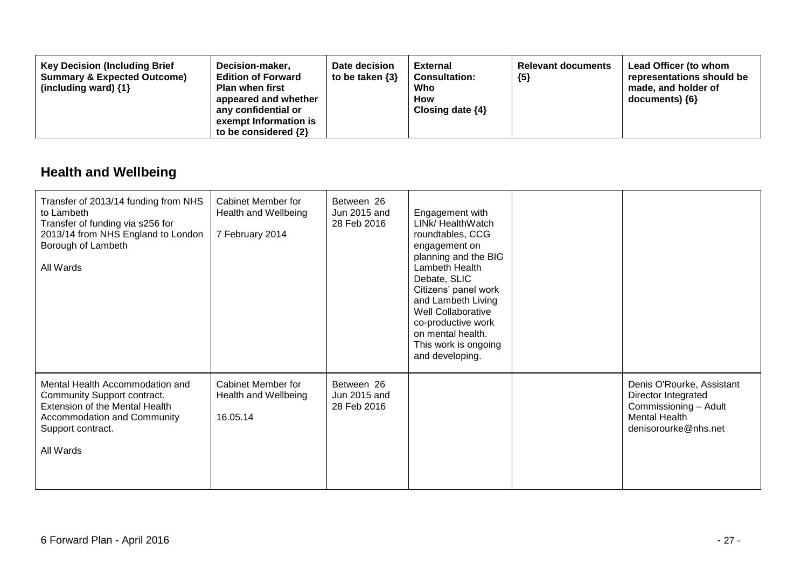| <b>Key Decision (Including Brief</b><br>Decision-maker,<br><b>Summary &amp; Expected Outcome)</b><br><b>Edition of Forward</b><br>(including ward) $\{1\}$<br><b>Plan when first</b><br>appeared and whether<br>any confidential or<br>exempt Information is<br>to be considered $\{2\}$ | Date decision<br>to be taken $\{3\}$ | <b>External</b><br><b>Consultation:</b><br>Who<br><b>How</b><br>Closing date $\{4\}$ | <b>Relevant documents</b><br>${5}$ | Lead Officer (to whom<br>representations should be<br>made, and holder of<br>documents) ${6}$ |
|------------------------------------------------------------------------------------------------------------------------------------------------------------------------------------------------------------------------------------------------------------------------------------------|--------------------------------------|--------------------------------------------------------------------------------------|------------------------------------|-----------------------------------------------------------------------------------------------|
|------------------------------------------------------------------------------------------------------------------------------------------------------------------------------------------------------------------------------------------------------------------------------------------|--------------------------------------|--------------------------------------------------------------------------------------|------------------------------------|-----------------------------------------------------------------------------------------------|

## **Health and Wellbeing**

| Transfer of 2013/14 funding from NHS<br>to Lambeth<br>Transfer of funding via s256 for<br>2013/14 from NHS England to London<br>Borough of Lambeth<br>All Wards          | Cabinet Member for<br>Health and Wellbeing<br>7 February 2014 | Between 26<br>Jun 2015 and<br>28 Feb 2016 | Engagement with<br>LINk/ HealthWatch<br>roundtables, CCG<br>engagement on<br>planning and the BIG<br>Lambeth Health<br>Debate, SLIC<br>Citizens' panel work<br>and Lambeth Living<br>Well Collaborative<br>co-productive work<br>on mental health.<br>This work is ongoing<br>and developing. |                                                                                                                           |
|--------------------------------------------------------------------------------------------------------------------------------------------------------------------------|---------------------------------------------------------------|-------------------------------------------|-----------------------------------------------------------------------------------------------------------------------------------------------------------------------------------------------------------------------------------------------------------------------------------------------|---------------------------------------------------------------------------------------------------------------------------|
| Mental Health Accommodation and<br>Community Support contract.<br>Extension of the Mental Health<br><b>Accommodation and Community</b><br>Support contract.<br>All Wards | Cabinet Member for<br>Health and Wellbeing<br>16.05.14        | Between 26<br>Jun 2015 and<br>28 Feb 2016 |                                                                                                                                                                                                                                                                                               | Denis O'Rourke, Assistant<br>Director Integrated<br>Commissioning - Adult<br><b>Mental Health</b><br>denisorourke@nhs.net |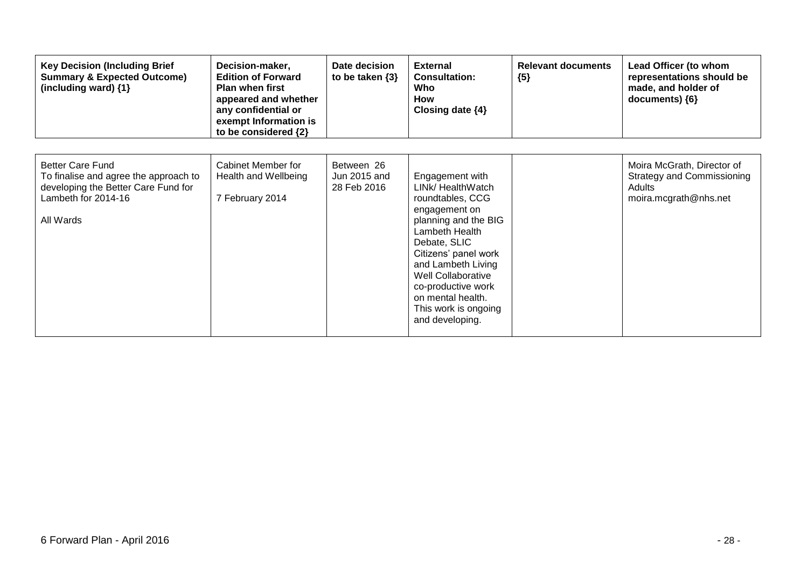| <b>Key Decision (Including Brief</b><br><b>Summary &amp; Expected Outcome)</b><br>(including ward) {1}                                      | Decision-maker,<br><b>Edition of Forward</b><br><b>Plan when first</b><br>appeared and whether<br>any confidential or<br>exempt Information is<br>to be considered {2} | Date decision<br>to be taken $\{3\}$      | <b>External</b><br><b>Consultation:</b><br>Who<br><b>How</b><br>Closing date $\{4\}$                                                                                                                                                                                                          | <b>Relevant documents</b><br>${5}$ | Lead Officer (to whom<br>representations should be<br>made, and holder of<br>documents) ${6}$      |
|---------------------------------------------------------------------------------------------------------------------------------------------|------------------------------------------------------------------------------------------------------------------------------------------------------------------------|-------------------------------------------|-----------------------------------------------------------------------------------------------------------------------------------------------------------------------------------------------------------------------------------------------------------------------------------------------|------------------------------------|----------------------------------------------------------------------------------------------------|
| <b>Better Care Fund</b><br>To finalise and agree the approach to<br>developing the Better Care Fund for<br>Lambeth for 2014-16<br>All Wards | Cabinet Member for<br>Health and Wellbeing<br>7 February 2014                                                                                                          | Between 26<br>Jun 2015 and<br>28 Feb 2016 | Engagement with<br>LINk/ HealthWatch<br>roundtables, CCG<br>engagement on<br>planning and the BIG<br>Lambeth Health<br>Debate, SLIC<br>Citizens' panel work<br>and Lambeth Living<br>Well Collaborative<br>co-productive work<br>on mental health.<br>This work is ongoing<br>and developing. |                                    | Moira McGrath, Director of<br><b>Strategy and Commissioning</b><br>Adults<br>moira.mcgrath@nhs.net |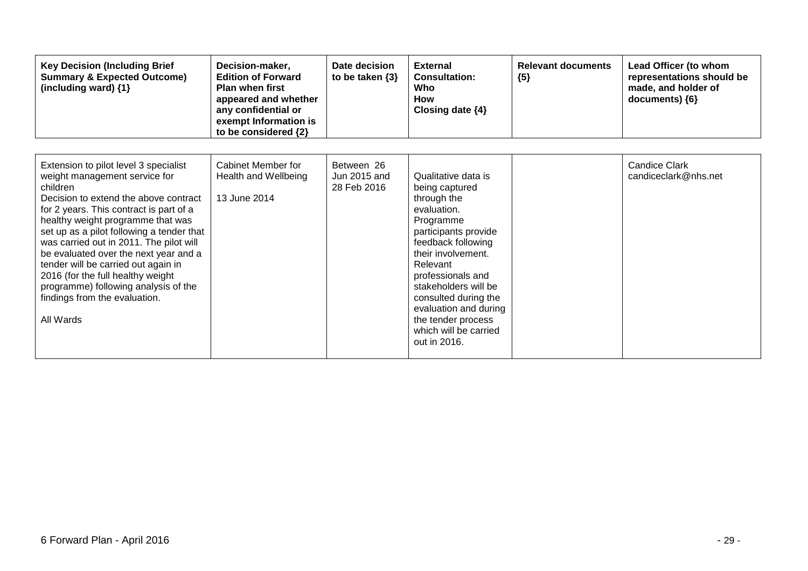| <b>Key Decision (Including Brief</b><br><b>Summary &amp; Expected Outcome)</b><br>(including ward) {1}                                                                                                                                                                                                                                                                                                                                                                                                         | Decision-maker,<br><b>Edition of Forward</b><br><b>Plan when first</b><br>appeared and whether<br>any confidential or<br>exempt Information is<br>to be considered {2} | Date decision<br>to be taken $\{3\}$      | <b>External</b><br><b>Consultation:</b><br>Who<br><b>How</b><br>Closing date {4}                                                                                                                                                                                                                                              | <b>Relevant documents</b><br>${5}$ | Lead Officer (to whom<br>representations should be<br>made, and holder of<br>documents) {6} |
|----------------------------------------------------------------------------------------------------------------------------------------------------------------------------------------------------------------------------------------------------------------------------------------------------------------------------------------------------------------------------------------------------------------------------------------------------------------------------------------------------------------|------------------------------------------------------------------------------------------------------------------------------------------------------------------------|-------------------------------------------|-------------------------------------------------------------------------------------------------------------------------------------------------------------------------------------------------------------------------------------------------------------------------------------------------------------------------------|------------------------------------|---------------------------------------------------------------------------------------------|
| Extension to pilot level 3 specialist<br>weight management service for<br>children<br>Decision to extend the above contract<br>for 2 years. This contract is part of a<br>healthy weight programme that was<br>set up as a pilot following a tender that<br>was carried out in 2011. The pilot will<br>be evaluated over the next year and a<br>tender will be carried out again in<br>2016 (for the full healthy weight<br>programme) following analysis of the<br>findings from the evaluation.<br>All Wards | Cabinet Member for<br>Health and Wellbeing<br>13 June 2014                                                                                                             | Between 26<br>Jun 2015 and<br>28 Feb 2016 | Qualitative data is<br>being captured<br>through the<br>evaluation.<br>Programme<br>participants provide<br>feedback following<br>their involvement.<br>Relevant<br>professionals and<br>stakeholders will be<br>consulted during the<br>evaluation and during<br>the tender process<br>which will be carried<br>out in 2016. |                                    | <b>Candice Clark</b><br>candiceclark@nhs.net                                                |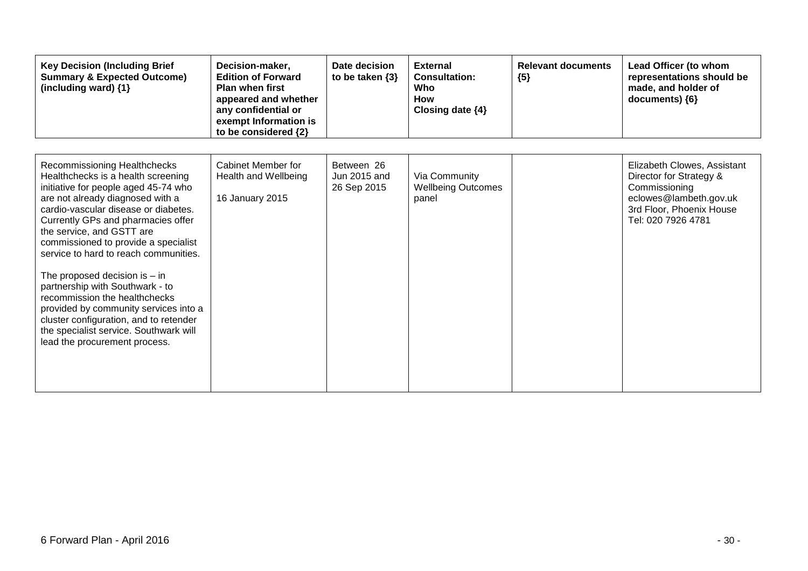| <b>Key Decision (Including Brief</b><br><b>Summary &amp; Expected Outcome)</b><br>(including ward) $\{1\}$                                                                                                                                                                                                                                                                                                                                                                                                                                                                                                      | Decision-maker,<br><b>Edition of Forward</b><br><b>Plan when first</b><br>appeared and whether<br>any confidential or<br>exempt Information is<br>to be considered {2} | Date decision<br>to be taken $\{3\}$      | <b>External</b><br><b>Consultation:</b><br>Who<br><b>How</b><br>Closing date {4} | <b>Relevant documents</b><br>${5}$ | Lead Officer (to whom<br>representations should be<br>made, and holder of<br>documents) {6}                                                         |
|-----------------------------------------------------------------------------------------------------------------------------------------------------------------------------------------------------------------------------------------------------------------------------------------------------------------------------------------------------------------------------------------------------------------------------------------------------------------------------------------------------------------------------------------------------------------------------------------------------------------|------------------------------------------------------------------------------------------------------------------------------------------------------------------------|-------------------------------------------|----------------------------------------------------------------------------------|------------------------------------|-----------------------------------------------------------------------------------------------------------------------------------------------------|
| Recommissioning Healthchecks<br>Healthchecks is a health screening<br>initiative for people aged 45-74 who<br>are not already diagnosed with a<br>cardio-vascular disease or diabetes.<br>Currently GPs and pharmacies offer<br>the service, and GSTT are<br>commissioned to provide a specialist<br>service to hard to reach communities.<br>The proposed decision is $-$ in<br>partnership with Southwark - to<br>recommission the healthchecks<br>provided by community services into a<br>cluster configuration, and to retender<br>the specialist service. Southwark will<br>lead the procurement process. | <b>Cabinet Member for</b><br>Health and Wellbeing<br>16 January 2015                                                                                                   | Between 26<br>Jun 2015 and<br>26 Sep 2015 | Via Community<br><b>Wellbeing Outcomes</b><br>panel                              |                                    | Elizabeth Clowes, Assistant<br>Director for Strategy &<br>Commissioning<br>eclowes@lambeth.gov.uk<br>3rd Floor, Phoenix House<br>Tel: 020 7926 4781 |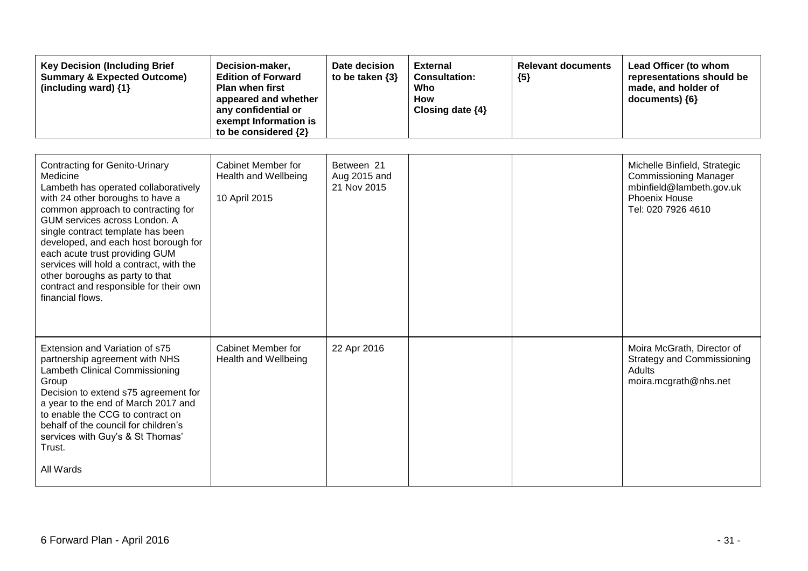| <b>Key Decision (Including Brief</b><br><b>Summary &amp; Expected Outcome)</b><br>(including ward) {1}                                                                                                                                                                                                                                                                                                                                                          | Decision-maker,<br><b>Edition of Forward</b><br>Plan when first<br>appeared and whether<br>any confidential or<br>exempt Information is<br>to be considered {2} | Date decision<br>to be taken $\{3\}$      | <b>External</b><br><b>Consultation:</b><br>Who<br>How<br>Closing date {4} | <b>Relevant documents</b><br>${5}$ | Lead Officer (to whom<br>representations should be<br>made, and holder of<br>documents) {6}                                            |
|-----------------------------------------------------------------------------------------------------------------------------------------------------------------------------------------------------------------------------------------------------------------------------------------------------------------------------------------------------------------------------------------------------------------------------------------------------------------|-----------------------------------------------------------------------------------------------------------------------------------------------------------------|-------------------------------------------|---------------------------------------------------------------------------|------------------------------------|----------------------------------------------------------------------------------------------------------------------------------------|
| <b>Contracting for Genito-Urinary</b><br>Medicine<br>Lambeth has operated collaboratively<br>with 24 other boroughs to have a<br>common approach to contracting for<br>GUM services across London. A<br>single contract template has been<br>developed, and each host borough for<br>each acute trust providing GUM<br>services will hold a contract, with the<br>other boroughs as party to that<br>contract and responsible for their own<br>financial flows. | Cabinet Member for<br><b>Health and Wellbeing</b><br>10 April 2015                                                                                              | Between 21<br>Aug 2015 and<br>21 Nov 2015 |                                                                           |                                    | Michelle Binfield, Strategic<br><b>Commissioning Manager</b><br>mbinfield@lambeth.gov.uk<br><b>Phoenix House</b><br>Tel: 020 7926 4610 |
| Extension and Variation of s75<br>partnership agreement with NHS<br>Lambeth Clinical Commissioning<br>Group<br>Decision to extend s75 agreement for<br>a year to the end of March 2017 and<br>to enable the CCG to contract on<br>behalf of the council for children's<br>services with Guy's & St Thomas'<br>Trust.<br>All Wards                                                                                                                               | Cabinet Member for<br>Health and Wellbeing                                                                                                                      | 22 Apr 2016                               |                                                                           |                                    | Moira McGrath, Director of<br><b>Strategy and Commissioning</b><br>Adults<br>moira.mcgrath@nhs.net                                     |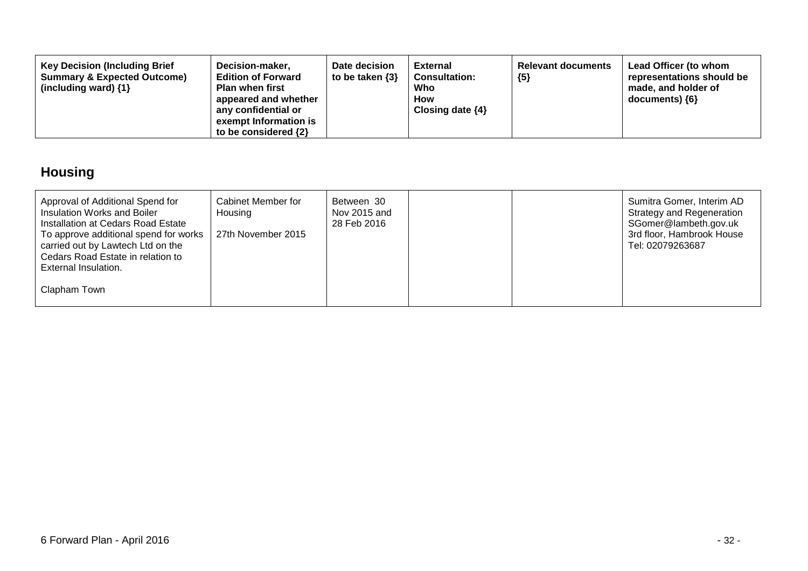| <b>Key Decision (Including Brief</b><br>Decision-maker,<br><b>Summary &amp; Expected Outcome)</b><br><b>Edition of Forward</b><br>(including ward) $\{1\}$<br><b>Plan when first</b><br>appeared and whether<br>any confidential or<br>exempt Information is<br>to be considered $\{2\}$ | Date decision<br>to be taken $\{3\}$ | External<br><b>Consultation:</b><br>Who<br>How<br>Closing date $\{4\}$ | <b>Relevant documents</b><br>${5}$ | Lead Officer (to whom<br>representations should be<br>made, and holder of<br>$documents)$ {6} |
|------------------------------------------------------------------------------------------------------------------------------------------------------------------------------------------------------------------------------------------------------------------------------------------|--------------------------------------|------------------------------------------------------------------------|------------------------------------|-----------------------------------------------------------------------------------------------|
|------------------------------------------------------------------------------------------------------------------------------------------------------------------------------------------------------------------------------------------------------------------------------------------|--------------------------------------|------------------------------------------------------------------------|------------------------------------|-----------------------------------------------------------------------------------------------|

# **Housing**

| Approval of Additional Spend for<br>Insulation Works and Boiler<br>Installation at Cedars Road Estate<br>To approve additional spend for works<br>carried out by Lawtech Ltd on the | Cabinet Member for<br>Housing<br>27th November 2015 | Between 30<br>Nov 2015 and<br>28 Feb 2016 |  | Sumitra Gomer, Interim AD<br><b>Strategy and Regeneration</b><br>SGomer@lambeth.gov.uk<br>3rd floor, Hambrook House<br>Tel: 02079263687 |
|-------------------------------------------------------------------------------------------------------------------------------------------------------------------------------------|-----------------------------------------------------|-------------------------------------------|--|-----------------------------------------------------------------------------------------------------------------------------------------|
| Cedars Road Estate in relation to<br>External Insulation.<br>Clapham Town                                                                                                           |                                                     |                                           |  |                                                                                                                                         |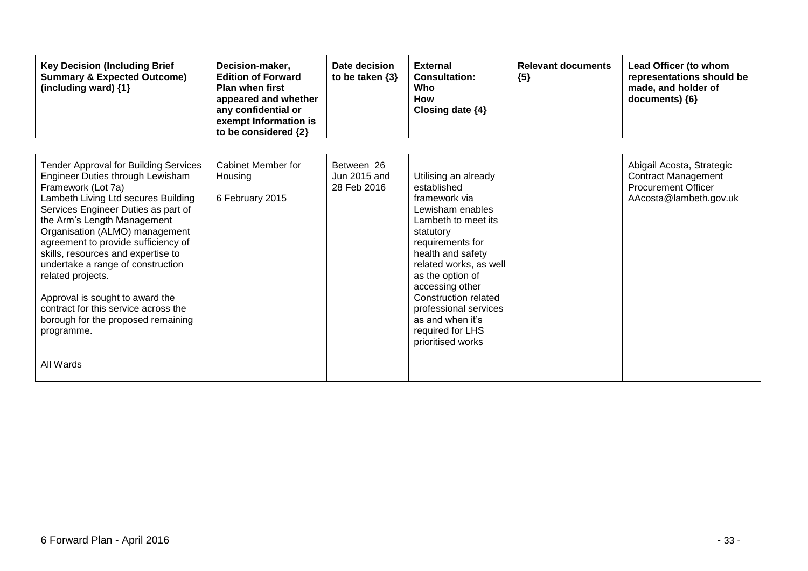| <b>Key Decision (Including Brief</b><br><b>Summary &amp; Expected Outcome)</b><br>(including ward) {1}                                                                                                                                                                                                                                                                                                                                                                                                                                   | Decision-maker,<br><b>Edition of Forward</b><br><b>Plan when first</b><br>appeared and whether<br>any confidential or<br>exempt Information is<br>to be considered {2} | Date decision<br>to be taken $\{3\}$      | <b>External</b><br><b>Consultation:</b><br>Who<br>How<br>Closing date $\{4\}$                                                                                                                                                                                                                                                               | <b>Relevant documents</b><br>${5}$ | Lead Officer (to whom<br>representations should be<br>made, and holder of<br>documents) {6}                     |
|------------------------------------------------------------------------------------------------------------------------------------------------------------------------------------------------------------------------------------------------------------------------------------------------------------------------------------------------------------------------------------------------------------------------------------------------------------------------------------------------------------------------------------------|------------------------------------------------------------------------------------------------------------------------------------------------------------------------|-------------------------------------------|---------------------------------------------------------------------------------------------------------------------------------------------------------------------------------------------------------------------------------------------------------------------------------------------------------------------------------------------|------------------------------------|-----------------------------------------------------------------------------------------------------------------|
| <b>Tender Approval for Building Services</b><br>Engineer Duties through Lewisham<br>Framework (Lot 7a)<br>Lambeth Living Ltd secures Building<br>Services Engineer Duties as part of<br>the Arm's Length Management<br>Organisation (ALMO) management<br>agreement to provide sufficiency of<br>skills, resources and expertise to<br>undertake a range of construction<br>related projects.<br>Approval is sought to award the<br>contract for this service across the<br>borough for the proposed remaining<br>programme.<br>All Wards | Cabinet Member for<br>Housing<br>6 February 2015                                                                                                                       | Between 26<br>Jun 2015 and<br>28 Feb 2016 | Utilising an already<br>established<br>framework via<br>Lewisham enables<br>Lambeth to meet its<br>statutory<br>requirements for<br>health and safety<br>related works, as well<br>as the option of<br>accessing other<br><b>Construction related</b><br>professional services<br>as and when it's<br>required for LHS<br>prioritised works |                                    | Abigail Acosta, Strategic<br><b>Contract Management</b><br><b>Procurement Officer</b><br>AAcosta@lambeth.gov.uk |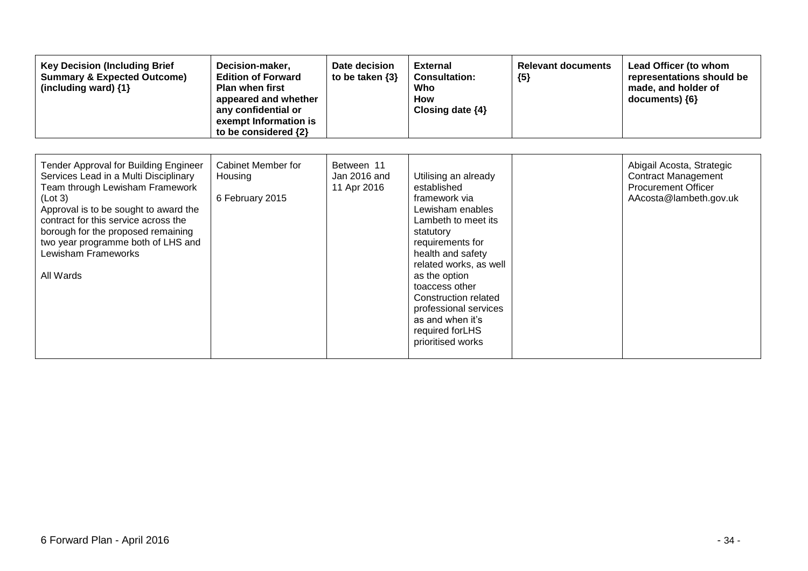| <b>Key Decision (Including Brief</b><br><b>Summary &amp; Expected Outcome)</b><br>(including ward) {1}                                                                                                                                                                                                                        | Decision-maker,<br><b>Edition of Forward</b><br><b>Plan when first</b><br>appeared and whether<br>any confidential or<br>exempt Information is<br>to be considered {2} | Date decision<br>to be taken $\{3\}$      | <b>External</b><br><b>Consultation:</b><br>Who<br><b>How</b><br>Closing date $\{4\}$                                                                                                                                                                                                                                            | <b>Relevant documents</b><br>${5}$ | Lead Officer (to whom<br>representations should be<br>made, and holder of<br>documents) ${6}$                   |
|-------------------------------------------------------------------------------------------------------------------------------------------------------------------------------------------------------------------------------------------------------------------------------------------------------------------------------|------------------------------------------------------------------------------------------------------------------------------------------------------------------------|-------------------------------------------|---------------------------------------------------------------------------------------------------------------------------------------------------------------------------------------------------------------------------------------------------------------------------------------------------------------------------------|------------------------------------|-----------------------------------------------------------------------------------------------------------------|
| Tender Approval for Building Engineer<br>Services Lead in a Multi Disciplinary<br>Team through Lewisham Framework<br>(Lot 3)<br>Approval is to be sought to award the<br>contract for this service across the<br>borough for the proposed remaining<br>two year programme both of LHS and<br>Lewisham Frameworks<br>All Wards | Cabinet Member for<br>Housing<br>6 February 2015                                                                                                                       | Between 11<br>Jan 2016 and<br>11 Apr 2016 | Utilising an already<br>established<br>framework via<br>Lewisham enables<br>Lambeth to meet its<br>statutory<br>requirements for<br>health and safety<br>related works, as well<br>as the option<br>toaccess other<br>Construction related<br>professional services<br>as and when it's<br>required forLHS<br>prioritised works |                                    | Abigail Acosta, Strategic<br><b>Contract Management</b><br><b>Procurement Officer</b><br>AAcosta@lambeth.gov.uk |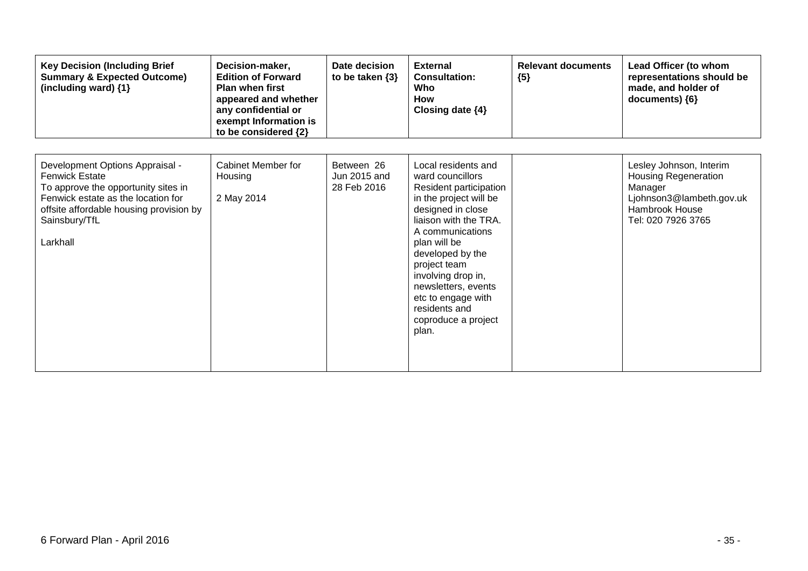| <b>Key Decision (Including Brief</b><br><b>Summary &amp; Expected Outcome)</b><br>(including ward) {1}                                                                                                        | Decision-maker,<br><b>Edition of Forward</b><br><b>Plan when first</b><br>appeared and whether<br>any confidential or<br>exempt Information is<br>to be considered {2} | Date decision<br>to be taken $\{3\}$      | <b>External</b><br><b>Consultation:</b><br>Who<br>How<br>Closing date $\{4\}$                                                                                                                                                                                                                                                         | <b>Relevant documents</b><br>${5}$ | Lead Officer (to whom<br>representations should be<br>made, and holder of<br>documents) {6}                                           |
|---------------------------------------------------------------------------------------------------------------------------------------------------------------------------------------------------------------|------------------------------------------------------------------------------------------------------------------------------------------------------------------------|-------------------------------------------|---------------------------------------------------------------------------------------------------------------------------------------------------------------------------------------------------------------------------------------------------------------------------------------------------------------------------------------|------------------------------------|---------------------------------------------------------------------------------------------------------------------------------------|
| Development Options Appraisal -<br><b>Fenwick Estate</b><br>To approve the opportunity sites in<br>Fenwick estate as the location for<br>offsite affordable housing provision by<br>Sainsbury/TfL<br>Larkhall | Cabinet Member for<br>Housing<br>2 May 2014                                                                                                                            | Between 26<br>Jun 2015 and<br>28 Feb 2016 | Local residents and<br>ward councillors<br>Resident participation<br>in the project will be<br>designed in close<br>liaison with the TRA.<br>A communications<br>plan will be<br>developed by the<br>project team<br>involving drop in,<br>newsletters, events<br>etc to engage with<br>residents and<br>coproduce a project<br>plan. |                                    | Lesley Johnson, Interim<br><b>Housing Regeneration</b><br>Manager<br>Ljohnson3@lambeth.gov.uk<br>Hambrook House<br>Tel: 020 7926 3765 |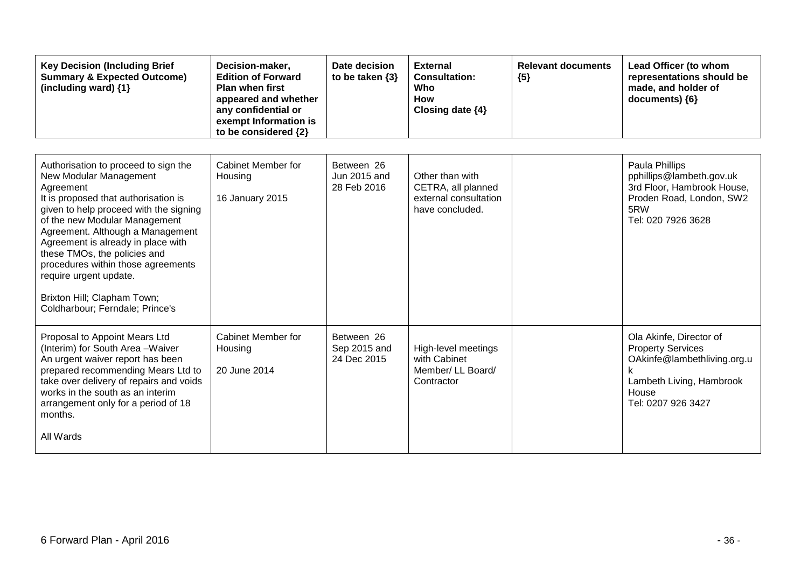| <b>Key Decision (Including Brief</b><br><b>Summary &amp; Expected Outcome)</b><br>(including ward) $\{1\}$                                                                                                                                                                                                                                                                                                                                 | Decision-maker,<br><b>Edition of Forward</b><br><b>Plan when first</b><br>appeared and whether<br>any confidential or<br>exempt Information is<br>to be considered {2} | Date decision<br>to be taken $\{3\}$      | <b>External</b><br><b>Consultation:</b><br>Who<br><b>How</b><br>Closing date {4}  | <b>Relevant documents</b><br>${5}$ | Lead Officer (to whom<br>representations should be<br>made, and holder of<br>documents) {6}                                                   |
|--------------------------------------------------------------------------------------------------------------------------------------------------------------------------------------------------------------------------------------------------------------------------------------------------------------------------------------------------------------------------------------------------------------------------------------------|------------------------------------------------------------------------------------------------------------------------------------------------------------------------|-------------------------------------------|-----------------------------------------------------------------------------------|------------------------------------|-----------------------------------------------------------------------------------------------------------------------------------------------|
| Authorisation to proceed to sign the<br>New Modular Management<br>Agreement<br>It is proposed that authorisation is<br>given to help proceed with the signing<br>of the new Modular Management<br>Agreement. Although a Management<br>Agreement is already in place with<br>these TMOs, the policies and<br>procedures within those agreements<br>require urgent update.<br>Brixton Hill; Clapham Town;<br>Coldharbour; Ferndale; Prince's | <b>Cabinet Member for</b><br>Housing<br>16 January 2015                                                                                                                | Between 26<br>Jun 2015 and<br>28 Feb 2016 | Other than with<br>CETRA, all planned<br>external consultation<br>have concluded. |                                    | Paula Phillips<br>pphillips@lambeth.gov.uk<br>3rd Floor, Hambrook House,<br>Proden Road, London, SW2<br>5RW<br>Tel: 020 7926 3628             |
| Proposal to Appoint Mears Ltd<br>(Interim) for South Area-Waiver<br>An urgent waiver report has been<br>prepared recommending Mears Ltd to<br>take over delivery of repairs and voids<br>works in the south as an interim<br>arrangement only for a period of 18<br>months.<br>All Wards                                                                                                                                                   | <b>Cabinet Member for</b><br>Housing<br>20 June 2014                                                                                                                   | Between 26<br>Sep 2015 and<br>24 Dec 2015 | High-level meetings<br>with Cabinet<br>Member/ LL Board/<br>Contractor            |                                    | Ola Akinfe, Director of<br><b>Property Services</b><br>OAkinfe@lambethliving.org.u<br>Lambeth Living, Hambrook<br>House<br>Tel: 0207 926 3427 |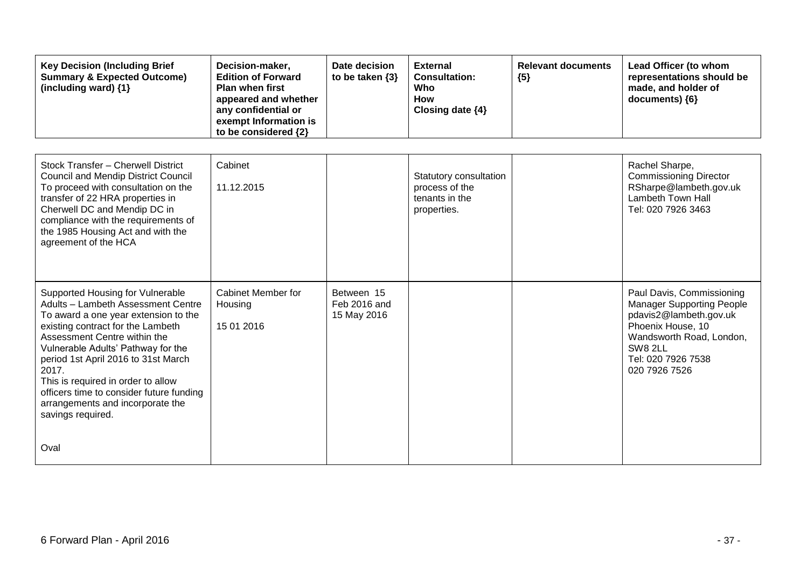| <b>Key Decision (Including Brief</b><br><b>Summary &amp; Expected Outcome)</b><br>(including ward) {1}                                                                                                                                                                                                                                                                                                               | Decision-maker,<br><b>Edition of Forward</b><br><b>Plan when first</b><br>appeared and whether<br>any confidential or<br>exempt Information is<br>to be considered {2} | Date decision<br>to be taken $\{3\}$      | <b>External</b><br><b>Consultation:</b><br>Who<br><b>How</b><br>Closing date {4} | <b>Relevant documents</b><br>${5}$ | Lead Officer (to whom<br>representations should be<br>made, and holder of<br>documents) {6}                                                                                                |
|----------------------------------------------------------------------------------------------------------------------------------------------------------------------------------------------------------------------------------------------------------------------------------------------------------------------------------------------------------------------------------------------------------------------|------------------------------------------------------------------------------------------------------------------------------------------------------------------------|-------------------------------------------|----------------------------------------------------------------------------------|------------------------------------|--------------------------------------------------------------------------------------------------------------------------------------------------------------------------------------------|
| Stock Transfer - Cherwell District<br><b>Council and Mendip District Council</b><br>To proceed with consultation on the<br>transfer of 22 HRA properties in<br>Cherwell DC and Mendip DC in<br>compliance with the requirements of<br>the 1985 Housing Act and with the<br>agreement of the HCA                                                                                                                      | Cabinet<br>11.12.2015                                                                                                                                                  |                                           | Statutory consultation<br>process of the<br>tenants in the<br>properties.        |                                    | Rachel Sharpe,<br><b>Commissioning Director</b><br>RSharpe@lambeth.gov.uk<br><b>Lambeth Town Hall</b><br>Tel: 020 7926 3463                                                                |
| Supported Housing for Vulnerable<br>Adults - Lambeth Assessment Centre<br>To award a one year extension to the<br>existing contract for the Lambeth<br>Assessment Centre within the<br>Vulnerable Adults' Pathway for the<br>period 1st April 2016 to 31st March<br>2017.<br>This is required in order to allow<br>officers time to consider future funding<br>arrangements and incorporate the<br>savings required. | <b>Cabinet Member for</b><br>Housing<br>15 01 2016                                                                                                                     | Between 15<br>Feb 2016 and<br>15 May 2016 |                                                                                  |                                    | Paul Davis, Commissioning<br><b>Manager Supporting People</b><br>pdavis2@lambeth.gov.uk<br>Phoenix House, 10<br>Wandsworth Road, London,<br>SW8 2LL<br>Tel: 020 7926 7538<br>020 7926 7526 |
| Oval                                                                                                                                                                                                                                                                                                                                                                                                                 |                                                                                                                                                                        |                                           |                                                                                  |                                    |                                                                                                                                                                                            |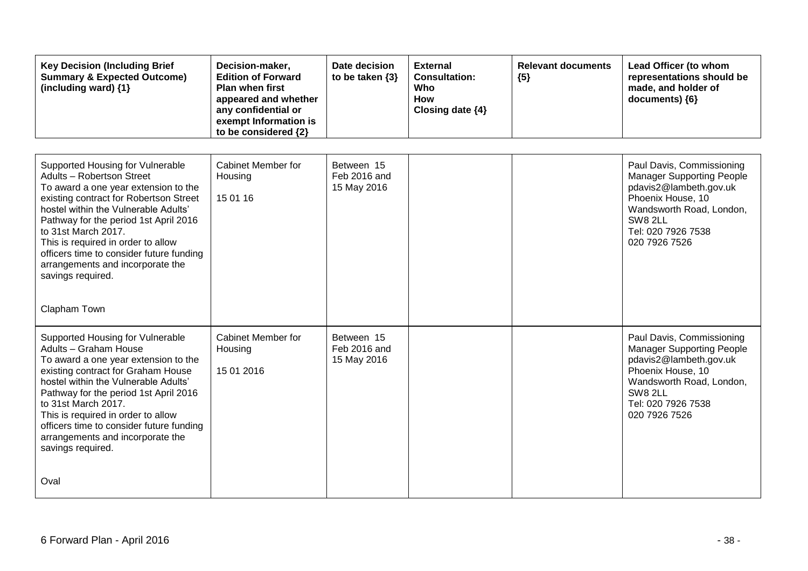| <b>Key Decision (Including Brief</b><br><b>Summary &amp; Expected Outcome)</b><br>(including ward) {1}                                                                                                                                                                                                                                                                                                             | Decision-maker,<br><b>Edition of Forward</b><br><b>Plan when first</b><br>appeared and whether<br>any confidential or<br>exempt Information is<br>to be considered {2} | Date decision<br>to be taken $\{3\}$      | <b>External</b><br><b>Consultation:</b><br>Who<br><b>How</b><br>Closing date {4} | <b>Relevant documents</b><br>${5}$ | Lead Officer (to whom<br>representations should be<br>made, and holder of<br>documents) {6}                                                                                                       |
|--------------------------------------------------------------------------------------------------------------------------------------------------------------------------------------------------------------------------------------------------------------------------------------------------------------------------------------------------------------------------------------------------------------------|------------------------------------------------------------------------------------------------------------------------------------------------------------------------|-------------------------------------------|----------------------------------------------------------------------------------|------------------------------------|---------------------------------------------------------------------------------------------------------------------------------------------------------------------------------------------------|
| Supported Housing for Vulnerable<br>Adults - Robertson Street<br>To award a one year extension to the<br>existing contract for Robertson Street<br>hostel within the Vulnerable Adults'<br>Pathway for the period 1st April 2016<br>to 31st March 2017.<br>This is required in order to allow<br>officers time to consider future funding<br>arrangements and incorporate the<br>savings required.<br>Clapham Town | Cabinet Member for<br>Housing<br>15 01 16                                                                                                                              | Between 15<br>Feb 2016 and<br>15 May 2016 |                                                                                  |                                    | Paul Davis, Commissioning<br><b>Manager Supporting People</b><br>pdavis2@lambeth.gov.uk<br>Phoenix House, 10<br>Wandsworth Road, London,<br><b>SW8 2LL</b><br>Tel: 020 7926 7538<br>020 7926 7526 |
| Supported Housing for Vulnerable<br>Adults - Graham House<br>To award a one year extension to the<br>existing contract for Graham House<br>hostel within the Vulnerable Adults'<br>Pathway for the period 1st April 2016<br>to 31st March 2017.<br>This is required in order to allow<br>officers time to consider future funding<br>arrangements and incorporate the<br>savings required.<br>Oval                 | <b>Cabinet Member for</b><br>Housing<br>15 01 2016                                                                                                                     | Between 15<br>Feb 2016 and<br>15 May 2016 |                                                                                  |                                    | Paul Davis, Commissioning<br><b>Manager Supporting People</b><br>pdavis2@lambeth.gov.uk<br>Phoenix House, 10<br>Wandsworth Road, London,<br>SW8 2LL<br>Tel: 020 7926 7538<br>020 7926 7526        |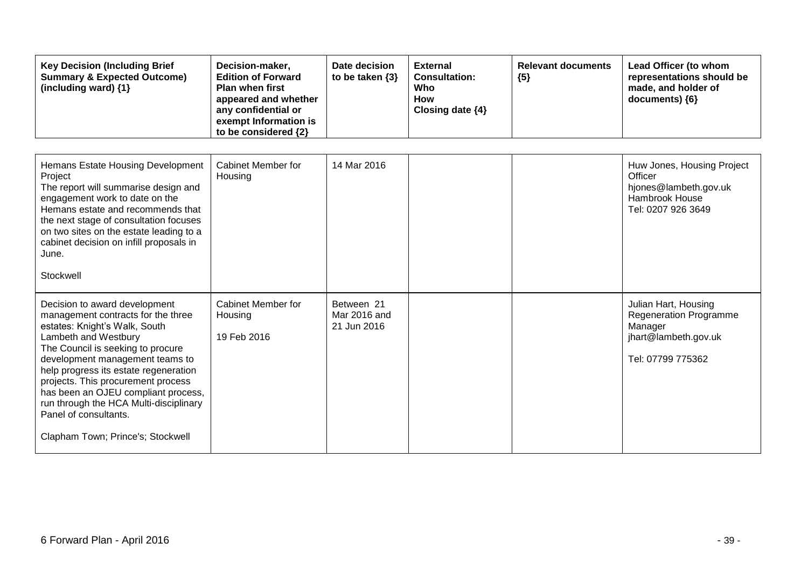| <b>Key Decision (Including Brief</b><br><b>Summary &amp; Expected Outcome)</b><br>(including ward) {1}                                                                                                                                                                                                                                                                                                                             | Decision-maker,<br><b>Edition of Forward</b><br><b>Plan when first</b><br>appeared and whether<br>any confidential or<br>exempt Information is<br>to be considered {2} | Date decision<br>to be taken $\{3\}$      | <b>External</b><br><b>Consultation:</b><br>Who<br><b>How</b><br>Closing date {4} | <b>Relevant documents</b><br>${5}$ | Lead Officer (to whom<br>representations should be<br>made, and holder of<br>documents) {6}                   |
|------------------------------------------------------------------------------------------------------------------------------------------------------------------------------------------------------------------------------------------------------------------------------------------------------------------------------------------------------------------------------------------------------------------------------------|------------------------------------------------------------------------------------------------------------------------------------------------------------------------|-------------------------------------------|----------------------------------------------------------------------------------|------------------------------------|---------------------------------------------------------------------------------------------------------------|
| Hemans Estate Housing Development<br>Project<br>The report will summarise design and<br>engagement work to date on the<br>Hemans estate and recommends that<br>the next stage of consultation focuses<br>on two sites on the estate leading to a<br>cabinet decision on infill proposals in<br>June.<br>Stockwell                                                                                                                  | Cabinet Member for<br>Housing                                                                                                                                          | 14 Mar 2016                               |                                                                                  |                                    | Huw Jones, Housing Project<br>Officer<br>hjones@lambeth.gov.uk<br>Hambrook House<br>Tel: 0207 926 3649        |
| Decision to award development<br>management contracts for the three<br>estates: Knight's Walk, South<br>Lambeth and Westbury<br>The Council is seeking to procure<br>development management teams to<br>help progress its estate regeneration<br>projects. This procurement process<br>has been an OJEU compliant process,<br>run through the HCA Multi-disciplinary<br>Panel of consultants.<br>Clapham Town; Prince's; Stockwell | Cabinet Member for<br>Housing<br>19 Feb 2016                                                                                                                           | Between 21<br>Mar 2016 and<br>21 Jun 2016 |                                                                                  |                                    | Julian Hart, Housing<br><b>Regeneration Programme</b><br>Manager<br>jhart@lambeth.gov.uk<br>Tel: 07799 775362 |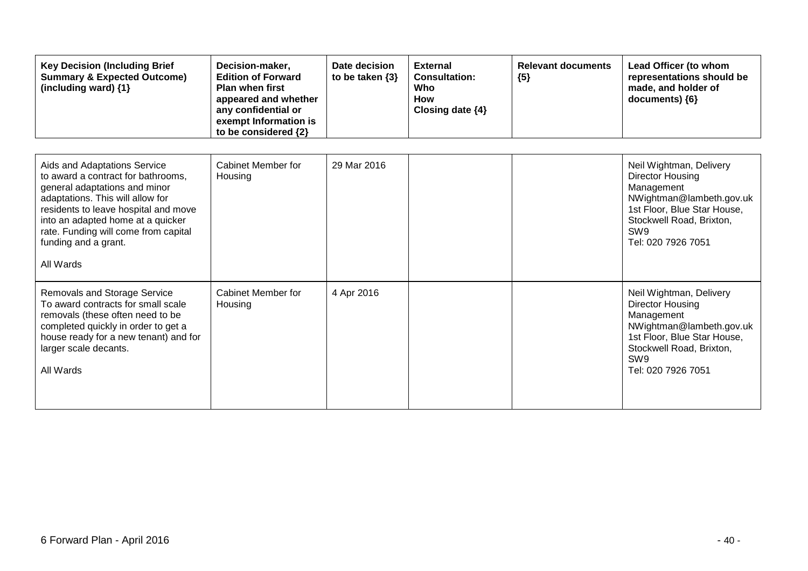| <b>Key Decision (Including Brief</b><br><b>Summary &amp; Expected Outcome)</b><br>(including ward) {1}                                                                                                                                                                                            | Decision-maker,<br><b>Edition of Forward</b><br><b>Plan when first</b><br>appeared and whether<br>any confidential or<br>exempt Information is<br>to be considered {2} | Date decision<br>to be taken $\{3\}$ | <b>External</b><br><b>Consultation:</b><br>Who<br><b>How</b><br>Closing date {4} | <b>Relevant documents</b><br>${5}$ | Lead Officer (to whom<br>representations should be<br>made, and holder of<br>documents) {6}                                                                                                      |
|---------------------------------------------------------------------------------------------------------------------------------------------------------------------------------------------------------------------------------------------------------------------------------------------------|------------------------------------------------------------------------------------------------------------------------------------------------------------------------|--------------------------------------|----------------------------------------------------------------------------------|------------------------------------|--------------------------------------------------------------------------------------------------------------------------------------------------------------------------------------------------|
| Aids and Adaptations Service<br>to award a contract for bathrooms,<br>general adaptations and minor<br>adaptations. This will allow for<br>residents to leave hospital and move<br>into an adapted home at a quicker<br>rate. Funding will come from capital<br>funding and a grant.<br>All Wards | Cabinet Member for<br>Housing                                                                                                                                          | 29 Mar 2016                          |                                                                                  |                                    | Neil Wightman, Delivery<br><b>Director Housing</b><br>Management<br>NWightman@lambeth.gov.uk<br>1st Floor, Blue Star House,<br>Stockwell Road, Brixton,<br>SW <sub>9</sub><br>Tel: 020 7926 7051 |
| <b>Removals and Storage Service</b><br>To award contracts for small scale<br>removals (these often need to be<br>completed quickly in order to get a<br>house ready for a new tenant) and for<br>larger scale decants.<br>All Wards                                                               | Cabinet Member for<br>Housing                                                                                                                                          | 4 Apr 2016                           |                                                                                  |                                    | Neil Wightman, Delivery<br><b>Director Housing</b><br>Management<br>NWightman@lambeth.gov.uk<br>1st Floor, Blue Star House,<br>Stockwell Road, Brixton,<br>SW <sub>9</sub><br>Tel: 020 7926 7051 |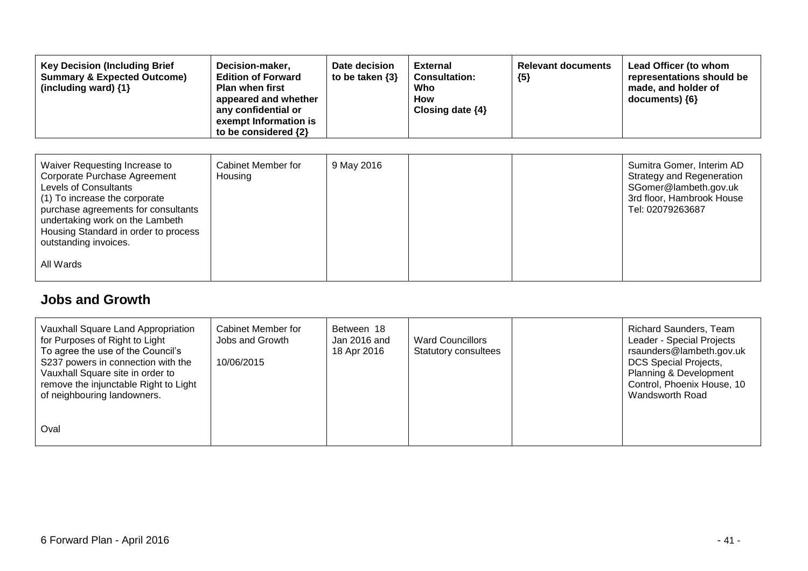| <b>Key Decision (Including Brief</b><br><b>Summary &amp; Expected Outcome)</b><br>(including ward) {1}                                                                                                                                                                                 | Decision-maker,<br><b>Edition of Forward</b><br><b>Plan when first</b><br>appeared and whether<br>any confidential or<br>exempt Information is<br>to be considered {2} | Date decision<br>to be taken $\{3\}$ | <b>External</b><br><b>Consultation:</b><br>Who<br>How<br>Closing date $\{4\}$ | <b>Relevant documents</b><br>${5}$ | Lead Officer (to whom<br>representations should be<br>made, and holder of<br>documents) ${6}$                                    |
|----------------------------------------------------------------------------------------------------------------------------------------------------------------------------------------------------------------------------------------------------------------------------------------|------------------------------------------------------------------------------------------------------------------------------------------------------------------------|--------------------------------------|-------------------------------------------------------------------------------|------------------------------------|----------------------------------------------------------------------------------------------------------------------------------|
| Waiver Requesting Increase to<br>Corporate Purchase Agreement<br><b>Levels of Consultants</b><br>(1) To increase the corporate<br>purchase agreements for consultants<br>undertaking work on the Lambeth<br>Housing Standard in order to process<br>outstanding invoices.<br>All Wards | Cabinet Member for<br>Housing                                                                                                                                          | 9 May 2016                           |                                                                               |                                    | Sumitra Gomer, Interim AD<br>Strategy and Regeneration<br>SGomer@lambeth.gov.uk<br>3rd floor, Hambrook House<br>Tel: 02079263687 |

#### **Jobs and Growth**

| Vauxhall Square Land Appropriation<br>for Purposes of Right to Light<br>To agree the use of the Council's<br>S237 powers in connection with the<br>Vauxhall Square site in order to<br>remove the injunctable Right to Light<br>of neighbouring landowners. | Cabinet Member for<br>Jobs and Growth<br>10/06/2015 | Between 18<br>Jan 2016 and<br>18 Apr 2016 | <b>Ward Councillors</b><br><b>Statutory consultees</b> | <b>Richard Saunders, Team</b><br>Leader - Special Projects<br>rsaunders@lambeth.gov.uk<br><b>DCS Special Projects,</b><br>Planning & Development<br>Control, Phoenix House, 10<br>Wandsworth Road |
|-------------------------------------------------------------------------------------------------------------------------------------------------------------------------------------------------------------------------------------------------------------|-----------------------------------------------------|-------------------------------------------|--------------------------------------------------------|---------------------------------------------------------------------------------------------------------------------------------------------------------------------------------------------------|
| Oval                                                                                                                                                                                                                                                        |                                                     |                                           |                                                        |                                                                                                                                                                                                   |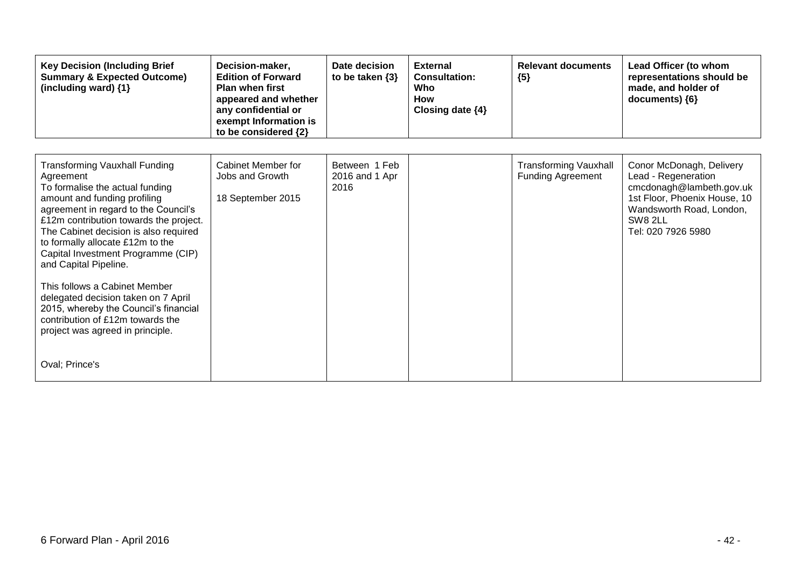| <b>Key Decision (Including Brief</b><br><b>Summary &amp; Expected Outcome)</b><br>(including ward) {1}                                                                                                                                                                                                                                                                                                                                                                                                                                                        | Decision-maker,<br><b>Edition of Forward</b><br><b>Plan when first</b><br>appeared and whether<br>any confidential or<br>exempt Information is<br>to be considered {2} | Date decision<br>to be taken $\{3\}$    | <b>External</b><br><b>Consultation:</b><br>Who<br><b>How</b><br>Closing date $\{4\}$ | <b>Relevant documents</b><br>${5}$                       | Lead Officer (to whom<br>representations should be<br>made, and holder of<br>documents) {6}                                                                              |
|---------------------------------------------------------------------------------------------------------------------------------------------------------------------------------------------------------------------------------------------------------------------------------------------------------------------------------------------------------------------------------------------------------------------------------------------------------------------------------------------------------------------------------------------------------------|------------------------------------------------------------------------------------------------------------------------------------------------------------------------|-----------------------------------------|--------------------------------------------------------------------------------------|----------------------------------------------------------|--------------------------------------------------------------------------------------------------------------------------------------------------------------------------|
| <b>Transforming Vauxhall Funding</b><br>Agreement<br>To formalise the actual funding<br>amount and funding profiling<br>agreement in regard to the Council's<br>£12m contribution towards the project.<br>The Cabinet decision is also required<br>to formally allocate £12m to the<br>Capital Investment Programme (CIP)<br>and Capital Pipeline.<br>This follows a Cabinet Member<br>delegated decision taken on 7 April<br>2015, whereby the Council's financial<br>contribution of £12m towards the<br>project was agreed in principle.<br>Oval; Prince's | Cabinet Member for<br>Jobs and Growth<br>18 September 2015                                                                                                             | Between 1 Feb<br>2016 and 1 Apr<br>2016 |                                                                                      | <b>Transforming Vauxhall</b><br><b>Funding Agreement</b> | Conor McDonagh, Delivery<br>Lead - Regeneration<br>cmcdonagh@lambeth.gov.uk<br>1st Floor, Phoenix House, 10<br>Wandsworth Road, London,<br>SW8 2LL<br>Tel: 020 7926 5980 |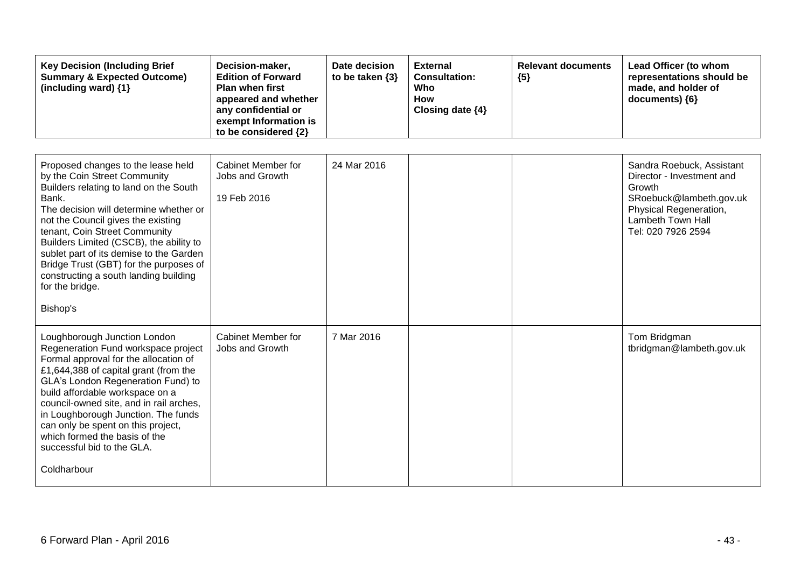| <b>Key Decision (Including Brief</b><br><b>Summary &amp; Expected Outcome)</b><br>(including ward) {1}                                                                                                                                                                                                                                                                                                                                           | Decision-maker,<br><b>Edition of Forward</b><br><b>Plan when first</b><br>appeared and whether<br>any confidential or<br>exempt Information is<br>to be considered {2} | Date decision<br>to be taken {3} | <b>External</b><br><b>Consultation:</b><br>Who<br>How<br>Closing date {4} | <b>Relevant documents</b><br>${5}$ | Lead Officer (to whom<br>representations should be<br>made, and holder of<br>documents) {6}                                                                      |
|--------------------------------------------------------------------------------------------------------------------------------------------------------------------------------------------------------------------------------------------------------------------------------------------------------------------------------------------------------------------------------------------------------------------------------------------------|------------------------------------------------------------------------------------------------------------------------------------------------------------------------|----------------------------------|---------------------------------------------------------------------------|------------------------------------|------------------------------------------------------------------------------------------------------------------------------------------------------------------|
| Proposed changes to the lease held<br>by the Coin Street Community<br>Builders relating to land on the South<br>Bank.<br>The decision will determine whether or<br>not the Council gives the existing<br>tenant, Coin Street Community<br>Builders Limited (CSCB), the ability to<br>sublet part of its demise to the Garden<br>Bridge Trust (GBT) for the purposes of<br>constructing a south landing building<br>for the bridge.               | Cabinet Member for<br>Jobs and Growth<br>19 Feb 2016                                                                                                                   | 24 Mar 2016                      |                                                                           |                                    | Sandra Roebuck, Assistant<br>Director - Investment and<br>Growth<br>SRoebuck@lambeth.gov.uk<br>Physical Regeneration,<br>Lambeth Town Hall<br>Tel: 020 7926 2594 |
| Bishop's<br>Loughborough Junction London<br>Regeneration Fund workspace project<br>Formal approval for the allocation of<br>£1,644,388 of capital grant (from the<br>GLA's London Regeneration Fund) to<br>build affordable workspace on a<br>council-owned site, and in rail arches,<br>in Loughborough Junction. The funds<br>can only be spent on this project,<br>which formed the basis of the<br>successful bid to the GLA.<br>Coldharbour | <b>Cabinet Member for</b><br>Jobs and Growth                                                                                                                           | 7 Mar 2016                       |                                                                           |                                    | Tom Bridgman<br>tbridgman@lambeth.gov.uk                                                                                                                         |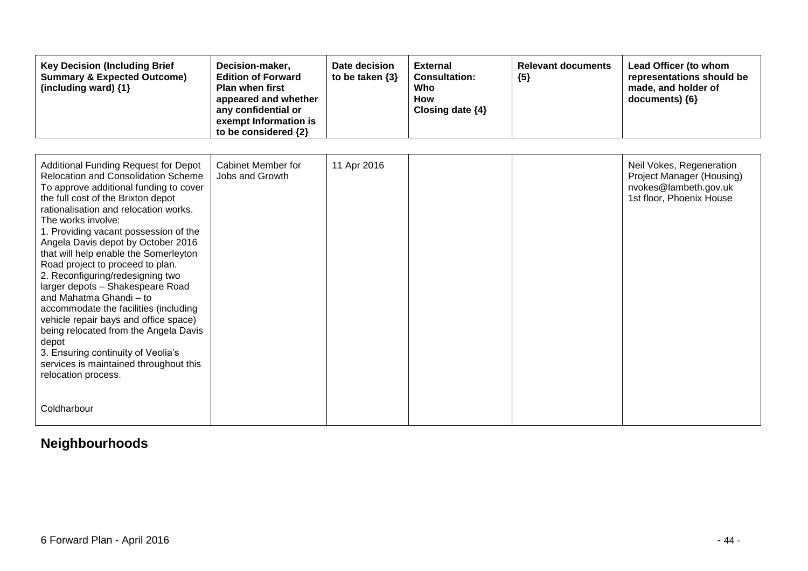| <b>Key Decision (Including Brief</b><br><b>Summary &amp; Expected Outcome)</b><br>(including ward) {1}                                                                                                                                                                                                                                                                                                                                                                                                                                                                                                                                                                                                                                             | Decision-maker,<br><b>Edition of Forward</b><br><b>Plan when first</b><br>appeared and whether<br>any confidential or<br>exempt Information is<br>to be considered {2} | Date decision<br>to be taken $\{3\}$ | <b>External</b><br><b>Consultation:</b><br>Who<br>How<br>Closing date {4} | <b>Relevant documents</b><br>${5}$ | Lead Officer (to whom<br>representations should be<br>made, and holder of<br>documents) ${6}$              |
|----------------------------------------------------------------------------------------------------------------------------------------------------------------------------------------------------------------------------------------------------------------------------------------------------------------------------------------------------------------------------------------------------------------------------------------------------------------------------------------------------------------------------------------------------------------------------------------------------------------------------------------------------------------------------------------------------------------------------------------------------|------------------------------------------------------------------------------------------------------------------------------------------------------------------------|--------------------------------------|---------------------------------------------------------------------------|------------------------------------|------------------------------------------------------------------------------------------------------------|
|                                                                                                                                                                                                                                                                                                                                                                                                                                                                                                                                                                                                                                                                                                                                                    |                                                                                                                                                                        |                                      |                                                                           |                                    |                                                                                                            |
| <b>Additional Funding Request for Depot</b><br><b>Relocation and Consolidation Scheme</b><br>To approve additional funding to cover<br>the full cost of the Brixton depot<br>rationalisation and relocation works.<br>The works involve:<br>1. Providing vacant possession of the<br>Angela Davis depot by October 2016<br>that will help enable the Somerleyton<br>Road project to proceed to plan.<br>2. Reconfiguring/redesigning two<br>larger depots - Shakespeare Road<br>and Mahatma Ghandi - to<br>accommodate the facilities (including<br>vehicle repair bays and office space)<br>being relocated from the Angela Davis<br>depot<br>3. Ensuring continuity of Veolia's<br>services is maintained throughout this<br>relocation process. | Cabinet Member for<br>Jobs and Growth                                                                                                                                  | 11 Apr 2016                          |                                                                           |                                    | Neil Vokes, Regeneration<br>Project Manager (Housing)<br>nvokes@lambeth.gov.uk<br>1st floor, Phoenix House |
| Coldharbour                                                                                                                                                                                                                                                                                                                                                                                                                                                                                                                                                                                                                                                                                                                                        |                                                                                                                                                                        |                                      |                                                                           |                                    |                                                                                                            |

## **Neighbourhoods**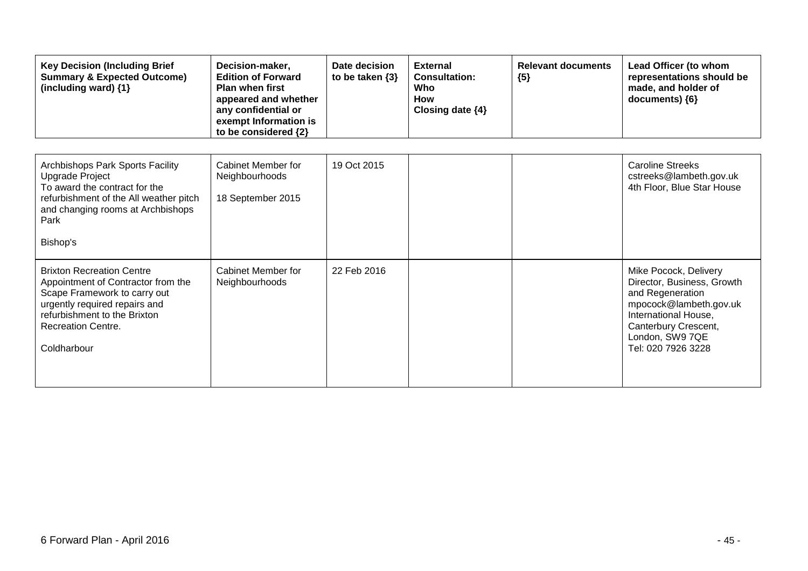| <b>Key Decision (Including Brief</b><br><b>Summary &amp; Expected Outcome)</b><br>(including ward) {1}                                                                                                              | Decision-maker,<br><b>Edition of Forward</b><br><b>Plan when first</b><br>appeared and whether<br>any confidential or<br>exempt Information is<br>to be considered {2} | Date decision<br>to be taken $\{3\}$ | <b>External</b><br><b>Consultation:</b><br><b>Who</b><br><b>How</b><br>Closing date $\{4\}$ | <b>Relevant documents</b><br>${5}$ | Lead Officer (to whom<br>representations should be<br>made, and holder of<br>documents) {6}                                                                                                |
|---------------------------------------------------------------------------------------------------------------------------------------------------------------------------------------------------------------------|------------------------------------------------------------------------------------------------------------------------------------------------------------------------|--------------------------------------|---------------------------------------------------------------------------------------------|------------------------------------|--------------------------------------------------------------------------------------------------------------------------------------------------------------------------------------------|
| Archbishops Park Sports Facility<br>Upgrade Project<br>To award the contract for the<br>refurbishment of the All weather pitch<br>and changing rooms at Archbishops<br>Park<br>Bishop's                             | Cabinet Member for<br>Neighbourhoods<br>18 September 2015                                                                                                              | 19 Oct 2015                          |                                                                                             |                                    | <b>Caroline Streeks</b><br>cstreeks@lambeth.gov.uk<br>4th Floor, Blue Star House                                                                                                           |
| <b>Brixton Recreation Centre</b><br>Appointment of Contractor from the<br>Scape Framework to carry out<br>urgently required repairs and<br>refurbishment to the Brixton<br><b>Recreation Centre.</b><br>Coldharbour | Cabinet Member for<br>Neighbourhoods                                                                                                                                   | 22 Feb 2016                          |                                                                                             |                                    | Mike Pocock, Delivery<br>Director, Business, Growth<br>and Regeneration<br>mpocock@lambeth.gov.uk<br>International House,<br>Canterbury Crescent,<br>London, SW9 7QE<br>Tel: 020 7926 3228 |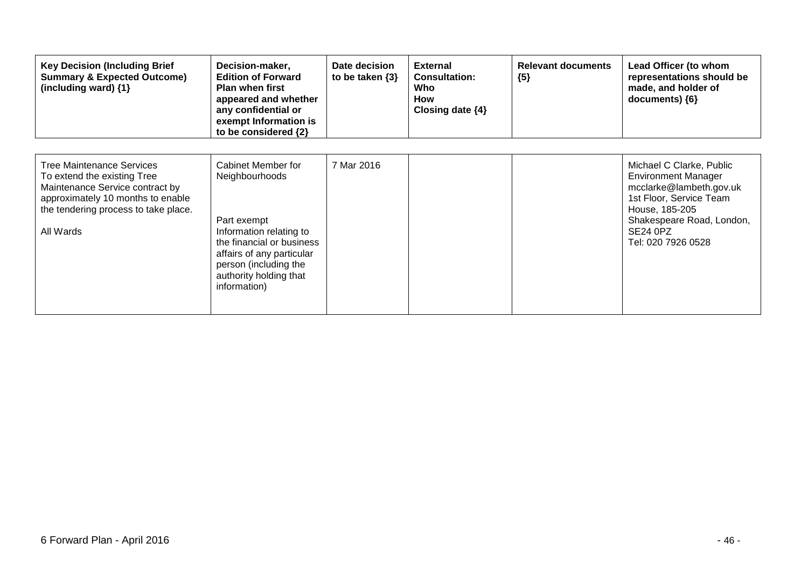| <b>Key Decision (Including Brief</b><br><b>Summary &amp; Expected Outcome)</b><br>(including ward) {1}                                                                                       | Decision-maker,<br><b>Edition of Forward</b><br><b>Plan when first</b><br>appeared and whether<br>any confidential or<br>exempt Information is<br>to be considered {2}                                      | Date decision<br>to be taken $\{3\}$ | <b>External</b><br><b>Consultation:</b><br>Who<br>How<br>Closing date $\{4\}$ | <b>Relevant documents</b><br>${5}$ | Lead Officer (to whom<br>representations should be<br>made, and holder of<br>documents) {6}                                                                                                          |
|----------------------------------------------------------------------------------------------------------------------------------------------------------------------------------------------|-------------------------------------------------------------------------------------------------------------------------------------------------------------------------------------------------------------|--------------------------------------|-------------------------------------------------------------------------------|------------------------------------|------------------------------------------------------------------------------------------------------------------------------------------------------------------------------------------------------|
| <b>Tree Maintenance Services</b><br>To extend the existing Tree<br>Maintenance Service contract by<br>approximately 10 months to enable<br>the tendering process to take place.<br>All Wards | Cabinet Member for<br>Neighbourhoods<br>Part exempt<br>Information relating to<br>the financial or business<br>affairs of any particular<br>person (including the<br>authority holding that<br>information) | 7 Mar 2016                           |                                                                               |                                    | Michael C Clarke, Public<br><b>Environment Manager</b><br>mcclarke@lambeth.gov.uk<br>1st Floor, Service Team<br>House, 185-205<br>Shakespeare Road, London,<br><b>SE24 0PZ</b><br>Tel: 020 7926 0528 |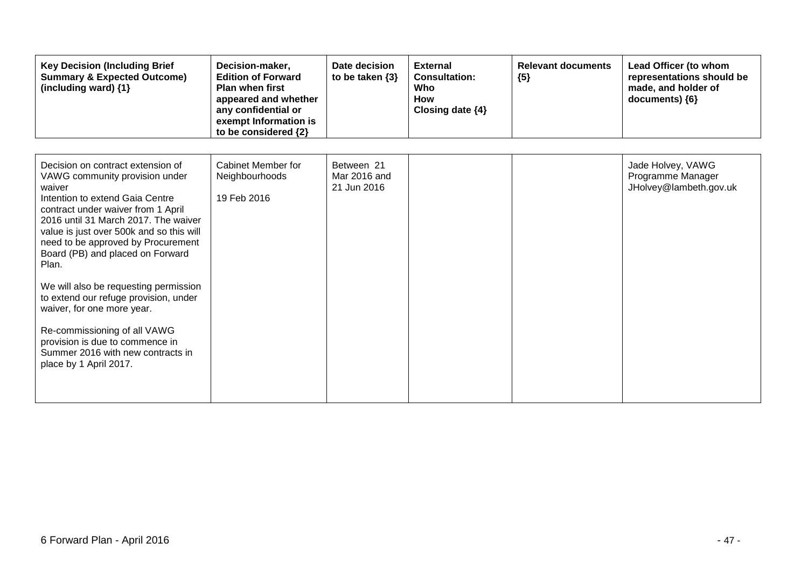| <b>Key Decision (Including Brief</b><br><b>Summary &amp; Expected Outcome)</b><br>(including ward) {1}                                                                                                                                                                                                                                                                                                                                                                                                                                                                          | Decision-maker,<br><b>Edition of Forward</b><br><b>Plan when first</b><br>appeared and whether<br>any confidential or<br>exempt Information is<br>to be considered {2} | Date decision<br>to be taken $\{3\}$      | <b>External</b><br><b>Consultation:</b><br>Who<br>How<br>Closing date {4} | <b>Relevant documents</b><br>${5}$ | Lead Officer (to whom<br>representations should be<br>made, and holder of<br>documents) {6} |
|---------------------------------------------------------------------------------------------------------------------------------------------------------------------------------------------------------------------------------------------------------------------------------------------------------------------------------------------------------------------------------------------------------------------------------------------------------------------------------------------------------------------------------------------------------------------------------|------------------------------------------------------------------------------------------------------------------------------------------------------------------------|-------------------------------------------|---------------------------------------------------------------------------|------------------------------------|---------------------------------------------------------------------------------------------|
| Decision on contract extension of<br>VAWG community provision under<br>waiver<br>Intention to extend Gaia Centre<br>contract under waiver from 1 April<br>2016 until 31 March 2017. The waiver<br>value is just over 500k and so this will<br>need to be approved by Procurement<br>Board (PB) and placed on Forward<br>Plan.<br>We will also be requesting permission<br>to extend our refuge provision, under<br>waiver, for one more year.<br>Re-commissioning of all VAWG<br>provision is due to commence in<br>Summer 2016 with new contracts in<br>place by 1 April 2017. | Cabinet Member for<br>Neighbourhoods<br>19 Feb 2016                                                                                                                    | Between 21<br>Mar 2016 and<br>21 Jun 2016 |                                                                           |                                    | Jade Holvey, VAWG<br>Programme Manager<br>JHolvey@lambeth.gov.uk                            |